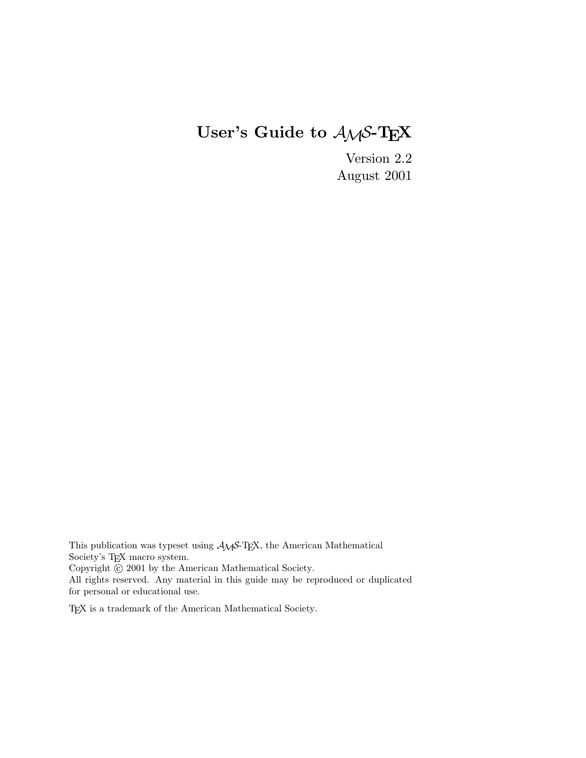# **User's Guide to** AMS**-TEX**

Version 2.2 August 2001

This publication was typeset using  $\mathcal{A} \mathcal{M}$  S-TEX, the American Mathematical Society's TEX macro system. Copyright  $\odot$  2001 by the American Mathematical Society. All rights reserved. Any material in this guide may be reproduced or duplicated for personal or educational use.

TEX is a trademark of the American Mathematical Society.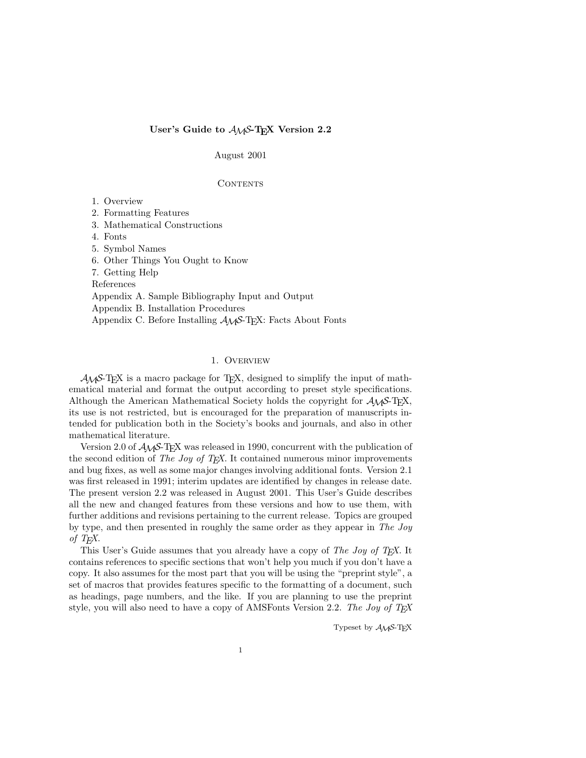## User's Guide to  $A_{\mathcal{M}}S$ -T<sub>E</sub>X Version 2.2

August 2001

## CONTENTS

- 1. Overview
- 2. Formatting Features
- 3. Mathematical Constructions
- 4. Fonts
- 5. Symbol Names
- 6. Other Things You Ought to Know
- 7. Getting Help

References

Appendix A. Sample Bibliography Input and Output

Appendix B. Installation Procedures

Appendix C. Before Installing  $A_{\mathcal{M}}S$ -T<sub>E</sub>X: Facts About Fonts

## 1. Overview

 $A_{\mathcal{M}}S$ -T<sub>E</sub>X is a macro package for T<sub>E</sub>X, designed to simplify the input of mathematical material and format the output according to preset style specifications. Although the American Mathematical Society holds the copyright for  $\mathcal{A}_{\mathcal{M}}$ S-T<sub>E</sub>X, its use is not restricted, but is encouraged for the preparation of manuscripts intended for publication both in the Society's books and journals, and also in other mathematical literature.

Version 2.0 of  $A_{\mathcal{M}}S$ -T<sub>E</sub>X was released in 1990, concurrent with the publication of the second edition of The Joy of T<sub>E</sub>X. It contained numerous minor improvements and bug fixes, as well as some major changes involving additional fonts. Version 2.1 was first released in 1991; interim updates are identified by changes in release date. The present version 2.2 was released in August 2001. This User's Guide describes all the new and changed features from these versions and how to use them, with further additions and revisions pertaining to the current release. Topics are grouped by type, and then presented in roughly the same order as they appear in The Joy of T<sub>E</sub>X.

This User's Guide assumes that you already have a copy of The Joy of T<sub>E</sub>X. It contains references to specific sections that won't help you much if you don't have a copy. It also assumes for the most part that you will be using the "preprint style", a set of macros that provides features specific to the formatting of a document, such as headings, page numbers, and the like. If you are planning to use the preprint style, you will also need to have a copy of AMSFonts Version 2.2. The Joy of  $T_F X$ 

Typeset by  $A_{\mathcal{M}}S$ -T<sub>F</sub>X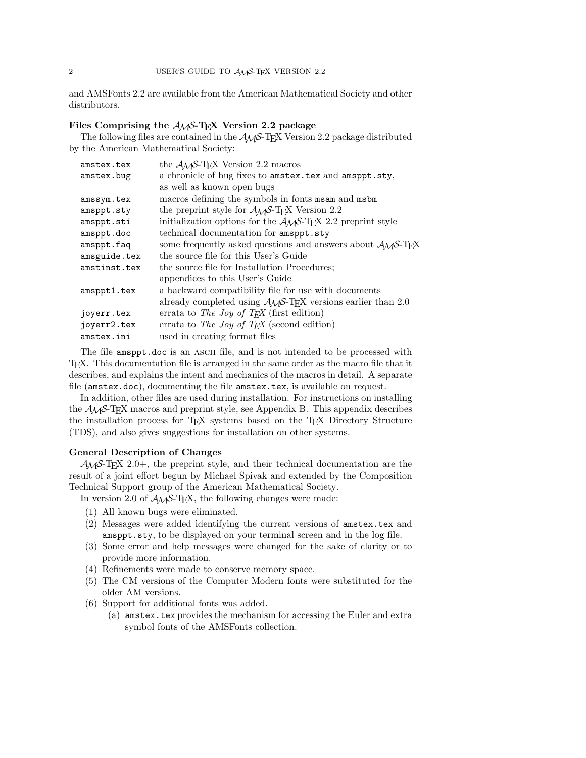and AMSFonts 2.2 are available from the American Mathematical Society and other distributors.

# Files Comprising the  $A_{\mathcal{M}}S$ -T<sub>E</sub>X Version 2.2 package

The following files are contained in the  $A_{\mathcal{M}}S$ -TEX Version 2.2 package distributed by the American Mathematical Society:

| amstex.tex   | the $\mathcal{A}\mathcal{M}$ S-T <sub>F</sub> X Version 2.2 macros                                           |
|--------------|--------------------------------------------------------------------------------------------------------------|
| amstex.bug   | a chronicle of bug fixes to amstex.tex and amsppt.sty,                                                       |
|              | as well as known open bugs                                                                                   |
| amssym.tex   | macros defining the symbols in fonts msam and msbm                                                           |
| amsppt.sty   | the preprint style for $\mathcal{A}_{\mathcal{M}}$ S-T <sub>F</sub> X Version 2.2                            |
| amsppt.sti   | initialization options for the $A_{\mathcal{M}}S$ -T <sub>F</sub> X 2.2 preprint style                       |
| amsppt.doc   | technical documentation for amsppt.sty                                                                       |
| amsppt.faq   | some frequently asked questions and answers about $\mathcal{A}_{\mathcal{M}}\mathcal{S}\text{-}\mathrm{Tr}X$ |
| amsguide.tex | the source file for this User's Guide                                                                        |
| amstinst.tex | the source file for Installation Procedures:                                                                 |
|              | appendices to this User's Guide                                                                              |
| amsppt1.tex  | a backward compatibility file for use with documents                                                         |
|              | already completed using $A_{\mathcal{M}}S$ -T <sub>F</sub> X versions earlier than 2.0                       |
| joyerr.tex   | errata to The Joy of T <sub>F</sub> X (first edition)                                                        |
| joyerr2.tex  | errata to The Joy of T <sub>F</sub> X (second edition)                                                       |
| amstex.ini   | used in creating format files                                                                                |

The file amsppt.doc is an ASCII file, and is not intended to be processed with TEX. This documentation file is arranged in the same order as the macro file that it describes, and explains the intent and mechanics of the macros in detail. A separate file (amstex.doc), documenting the file amstex.tex, is available on request.

In addition, other files are used during installation. For instructions on installing the AMS-TEX macros and preprint style, see Appendix B. This appendix describes the installation process for TEX systems based on the TEX Directory Structure (TDS), and also gives suggestions for installation on other systems.

## **General Description of Changes**

 $A_{\mathcal{M}}S$ -T<sub>E</sub>X 2.0+, the preprint style, and their technical documentation are the result of a joint effort begun by Michael Spivak and extended by the Composition Technical Support group of the American Mathematical Society.

In version 2.0 of  $A_{\mathcal{M}}S$ -T<sub>E</sub>X, the following changes were made:

- (1) All known bugs were eliminated.
- (2) Messages were added identifying the current versions of amstex.tex and amsppt.sty, to be displayed on your terminal screen and in the log file.
- (3) Some error and help messages were changed for the sake of clarity or to provide more information.
- (4) Refinements were made to conserve memory space.
- (5) The CM versions of the Computer Modern fonts were substituted for the older AM versions.
- (6) Support for additional fonts was added.
	- (a) amstex.tex provides the mechanism for accessing the Euler and extra symbol fonts of the AMSFonts collection.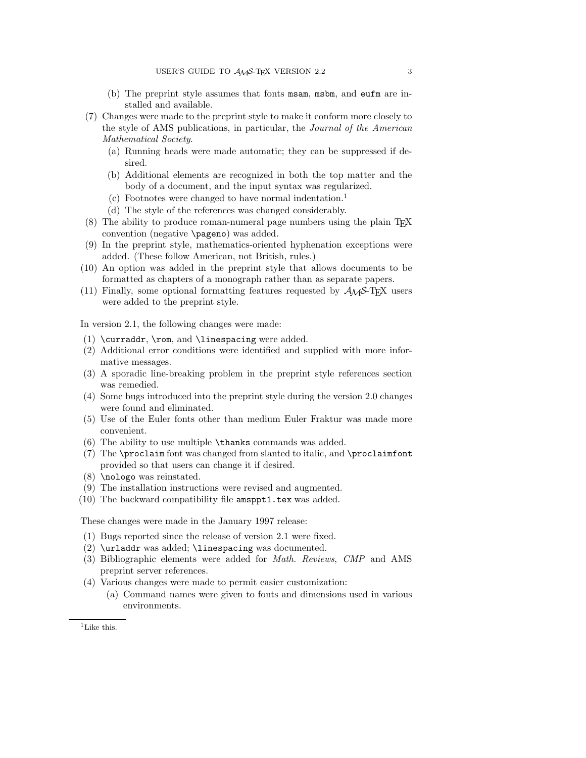- (b) The preprint style assumes that fonts msam, msbm, and eufm are installed and available.
- (7) Changes were made to the preprint style to make it conform more closely to the style of AMS publications, in particular, the Journal of the American Mathematical Society.
	- (a) Running heads were made automatic; they can be suppressed if desired.
	- (b) Additional elements are recognized in both the top matter and the body of a document, and the input syntax was regularized.
	- (c) Footnotes were changed to have normal indentation.<sup>1</sup>
	- (d) The style of the references was changed considerably.
- $(8)$  The ability to produce roman-numeral page numbers using the plain T<sub>E</sub>X convention (negative \pageno) was added.
- (9) In the preprint style, mathematics-oriented hyphenation exceptions were added. (These follow American, not British, rules.)
- (10) An option was added in the preprint style that allows documents to be formatted as chapters of a monograph rather than as separate papers.
- (11) Finally, some optional formatting features requested by  $A_{\mathcal{M}}S$ -T<sub>E</sub>X users were added to the preprint style.

In version 2.1, the following changes were made:

- (1) \curraddr, \rom, and \linespacing were added.
- (2) Additional error conditions were identified and supplied with more informative messages.
- (3) A sporadic line-breaking problem in the preprint style references section was remedied.
- (4) Some bugs introduced into the preprint style during the version 2.0 changes were found and eliminated.
- (5) Use of the Euler fonts other than medium Euler Fraktur was made more convenient.
- (6) The ability to use multiple \thanks commands was added.
- (7) The \proclaim font was changed from slanted to italic, and \proclaimfont provided so that users can change it if desired.
- (8) \nologo was reinstated.
- (9) The installation instructions were revised and augmented.
- (10) The backward compatibility file amsppt1.tex was added.

These changes were made in the January 1997 release:

- (1) Bugs reported since the release of version 2.1 were fixed.
- (2) \urladdr was added; \linespacing was documented.
- (3) Bibliographic elements were added for Math. Reviews, CMP and AMS preprint server references.
- (4) Various changes were made to permit easier customization:
	- (a) Command names were given to fonts and dimensions used in various environments.

<sup>&</sup>lt;sup>1</sup>Like this.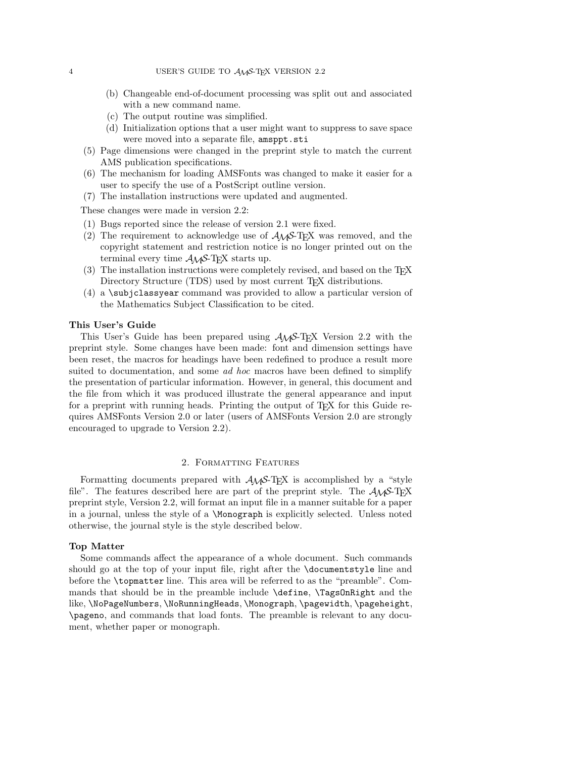- (b) Changeable end-of-document processing was split out and associated with a new command name.
- (c) The output routine was simplified.
- (d) Initialization options that a user might want to suppress to save space were moved into a separate file, amsppt.sti
- (5) Page dimensions were changed in the preprint style to match the current AMS publication specifications.
- (6) The mechanism for loading AMSFonts was changed to make it easier for a user to specify the use of a PostScript outline version.
- (7) The installation instructions were updated and augmented.

These changes were made in version 2.2:

- (1) Bugs reported since the release of version 2.1 were fixed.
- (2) The requirement to acknowledge use of  $A_{\mathcal{M}}S$ -T<sub>E</sub>X was removed, and the copyright statement and restriction notice is no longer printed out on the terminal every time  $A_{\mathcal{M}}S$ -T<sub>E</sub>X starts up.
- $(3)$  The installation instructions were completely revised, and based on the T<sub>E</sub>X Directory Structure (TDS) used by most current TEX distributions.
- (4) a \subjclassyear command was provided to allow a particular version of the Mathematics Subject Classification to be cited.

#### **This User's Guide**

This User's Guide has been prepared using  $A_{\mathcal{M}}S$ -T<sub>E</sub>X Version 2.2 with the preprint style. Some changes have been made: font and dimension settings have been reset, the macros for headings have been redefined to produce a result more suited to documentation, and some *ad hoc* macros have been defined to simplify the presentation of particular information. However, in general, this document and the file from which it was produced illustrate the general appearance and input for a preprint with running heads. Printing the output of T<sub>E</sub>X for this Guide requires AMSFonts Version 2.0 or later (users of AMSFonts Version 2.0 are strongly encouraged to upgrade to Version 2.2).

## 2. Formatting Features

Formatting documents prepared with  $A_{\mathcal{M}}S$ -T<sub>E</sub>X is accomplished by a "style file". The features described here are part of the preprint style. The  $A_{\mathcal{M}}S$ -TEX preprint style, Version 2.2, will format an input file in a manner suitable for a paper in a journal, unless the style of a \Monograph is explicitly selected. Unless noted otherwise, the journal style is the style described below.

## **Top Matter**

Some commands affect the appearance of a whole document. Such commands should go at the top of your input file, right after the \documentstyle line and before the \topmatter line. This area will be referred to as the "preamble". Commands that should be in the preamble include **\define**, **\TagsOnRight** and the like, \NoPageNumbers, \NoRunningHeads, \Monograph, \pagewidth, \pageheight, \pageno, and commands that load fonts. The preamble is relevant to any document, whether paper or monograph.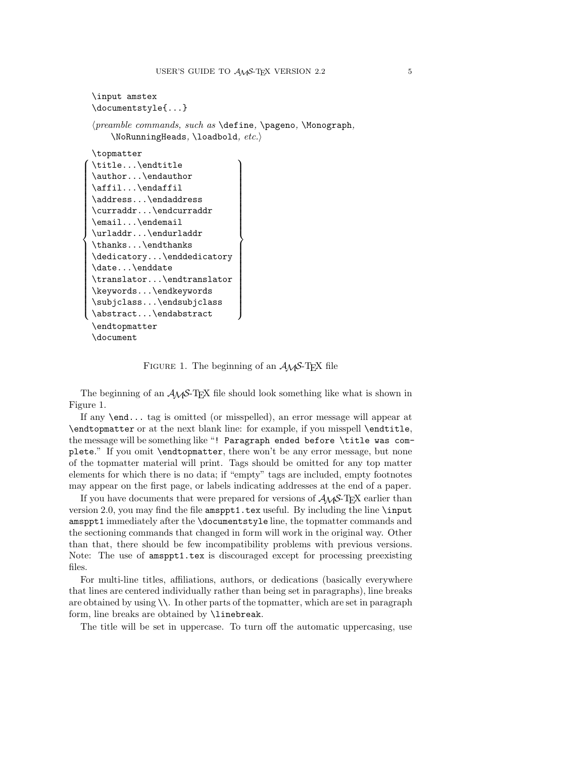```
\input amstex
     \documentstyle{...}
     \langle \text{preample commands}, \text{such as } \text{define}, \text{Nonograph}, \text{nongraph}, \text{nongraph}, \text{nongraph}, \text{nongraph}, \text{nongraph}, \text{nongraph}, \text{nongraph}, \text{nongraph}, \text{nongraph}, \text{nongraph}, \text{nongraph}, \text{nongraph}, \text{nongraph}, \text{nongraph}, \text{nongraph}, \text{nongraph}, \text{nongraph}, \text{nongraph}, \text{nongraph}, \text{nongraph}, \text{nongraph}, \text{nongraph}, \text{nongraph}, \text{nongraph}, \text{nongraph}, \text{nongraph}, \text{nongraph}, \text{nongraph}, \text{nongraph}, \text{nongraph}, \text{nongraph}, \text{nongraph}, \text\NoshunningHeads, \lozengeloadbold, etc.\topmatter
\begin{bmatrix} 1 & 1 \\ 1 & 1 \end{bmatrix}\begin{array}{c} \begin{array}{c} \end{array} \\ \begin{array}{c} \end{array} \end{array}\title...\endtitle
     \author...\endauthor
     \affil...\endaffil
     \address...\endaddress
     \curraddr...\endcurraddr
     \email...\endemail
     \urladdr...\endurladdr
     \thanks...\endthanks
     \dedicatory...\enddedicatory
     \date...\enddate
     \translator...\endtranslator
     \keywords...\endkeywords
     \subjclass...\endsubjclass
     \abstract...\endabstract
                                                                                        \begin{pmatrix} 1 & 1 \\ 1 & 1 \\ 1 & 1 \end{pmatrix}\begin{bmatrix} \phantom{-} \\ \phantom{-} \\ \phantom{-} \\ \phantom{-} \end{bmatrix}\endtopmatter
     \document
```
FIGURE 1. The beginning of an  $A_{\mathcal{M}}S$ -T<sub>F</sub>X file

The beginning of an  $A_{\mathcal{M}}S$ -T<sub>E</sub>X file should look something like what is shown in Figure 1.

If any \end... tag is omitted (or misspelled), an error message will appear at \endtopmatter or at the next blank line: for example, if you misspell \endtitle, the message will be something like "! Paragraph ended before \title was complete." If you omit \endtopmatter, there won't be any error message, but none of the topmatter material will print. Tags should be omitted for any top matter elements for which there is no data; if "empty" tags are included, empty footnotes may appear on the first page, or labels indicating addresses at the end of a paper.

If you have documents that were prepared for versions of  $\mathcal{A}\mathcal{M}$ S-TEX earlier than version 2.0, you may find the file amsppt1.tex useful. By including the line \input amsppt1 immediately after the \documentstyle line, the topmatter commands and the sectioning commands that changed in form will work in the original way. Other than that, there should be few incompatibility problems with previous versions. Note: The use of amsppt1.tex is discouraged except for processing preexisting files.

For multi-line titles, affiliations, authors, or dedications (basically everywhere that lines are centered individually rather than being set in paragraphs), line breaks are obtained by using  $\setminus\$ . In other parts of the topmatter, which are set in paragraph form, line breaks are obtained by \linebreak.

The title will be set in uppercase. To turn off the automatic uppercasing, use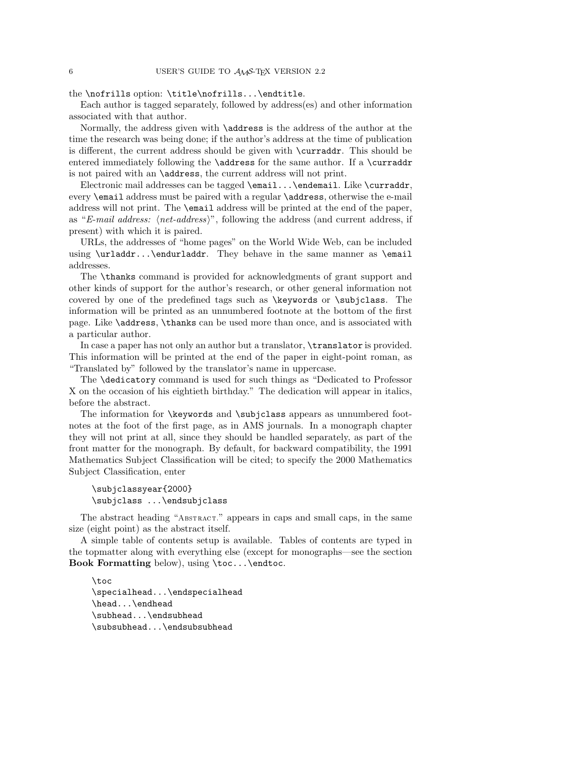the \nofrills option: \title\nofrills...\endtitle.

Each author is tagged separately, followed by address(es) and other information associated with that author.

Normally, the address given with \address is the address of the author at the time the research was being done; if the author's address at the time of publication is different, the current address should be given with \curraddr. This should be entered immediately following the \address for the same author. If a \curraddr is not paired with an \address, the current address will not print.

Electronic mail addresses can be tagged \email...\endemail. Like \curraddr, every \email address must be paired with a regular \address, otherwise the e-mail address will not print. The \email address will be printed at the end of the paper, as "E-mail address:  $\langle net\text{-}address\rangle$ ", following the address (and current address, if present) with which it is paired.

URLs, the addresses of "home pages" on the World Wide Web, can be included using \urladdr...\endurladdr. They behave in the same manner as \email addresses.

The \thanks command is provided for acknowledgments of grant support and other kinds of support for the author's research, or other general information not covered by one of the predefined tags such as \keywords or \subjclass. The information will be printed as an unnumbered footnote at the bottom of the first page. Like \address, \thanks can be used more than once, and is associated with a particular author.

In case a paper has not only an author but a translator, \translator is provided. This information will be printed at the end of the paper in eight-point roman, as "Translated by" followed by the translator's name in uppercase.

The \dedicatory command is used for such things as "Dedicated to Professor X on the occasion of his eightieth birthday." The dedication will appear in italics, before the abstract.

The information for **\keywords** and **\subjclass** appears as unnumbered footnotes at the foot of the first page, as in AMS journals. In a monograph chapter they will not print at all, since they should be handled separately, as part of the front matter for the monograph. By default, for backward compatibility, the 1991 Mathematics Subject Classification will be cited; to specify the 2000 Mathematics Subject Classification, enter

\subjclassyear{2000} \subjclass ...\endsubjclass

The abstract heading "Abstract." appears in caps and small caps, in the same size (eight point) as the abstract itself.

A simple table of contents setup is available. Tables of contents are typed in the topmatter along with everything else (except for monographs—see the section **Book Formatting** below), using \toc...\endtoc.

\toc \specialhead...\endspecialhead \head...\endhead \subhead...\endsubhead \subsubhead...\endsubsubhead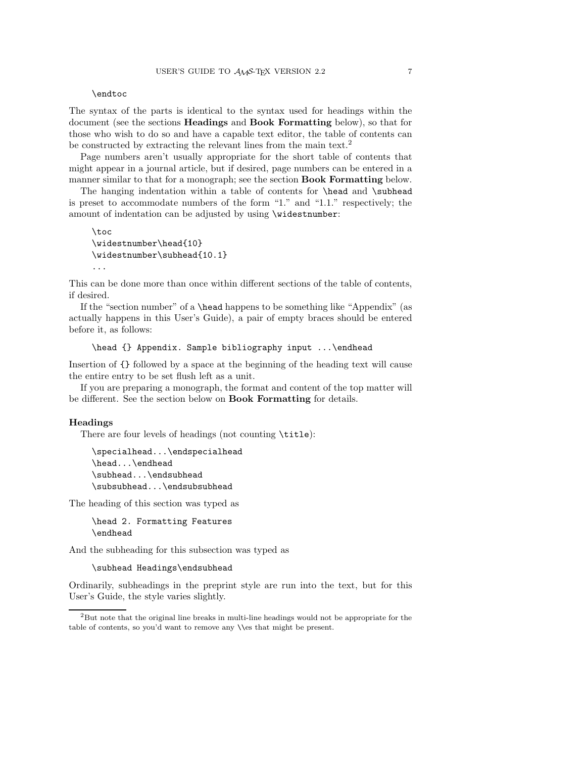## \endtoc

The syntax of the parts is identical to the syntax used for headings within the document (see the sections **Headings** and **Book Formatting** below), so that for those who wish to do so and have a capable text editor, the table of contents can be constructed by extracting the relevant lines from the main text.<sup>2</sup>

Page numbers aren't usually appropriate for the short table of contents that might appear in a journal article, but if desired, page numbers can be entered in a manner similar to that for a monograph; see the section **Book Formatting** below.

The hanging indentation within a table of contents for \head and \subhead is preset to accommodate numbers of the form "1." and "1.1." respectively; the amount of indentation can be adjusted by using \widestnumber:

```
\toc
\widestnumber\head{10}
\widestnumber\subhead{10.1}
...
```
This can be done more than once within different sections of the table of contents, if desired.

If the "section number" of a \head happens to be something like "Appendix" (as actually happens in this User's Guide), a pair of empty braces should be entered before it, as follows:

```
\head {} Appendix. Sample bibliography input ...\endhead
```
Insertion of {} followed by a space at the beginning of the heading text will cause the entire entry to be set flush left as a unit.

If you are preparing a monograph, the format and content of the top matter will be different. See the section below on **Book Formatting** for details.

#### **Headings**

There are four levels of headings (not counting \title):

```
\specialhead...\endspecialhead
\head...\endhead
\subhead...\endsubhead
\subsubhead...\endsubsubhead
```
The heading of this section was typed as

\head 2. Formatting Features \endhead

And the subheading for this subsection was typed as

```
\subhead Headings\endsubhead
```
Ordinarily, subheadings in the preprint style are run into the text, but for this User's Guide, the style varies slightly.

 ${}^{2}$ But note that the original line breaks in multi-line headings would not be appropriate for the table of contents, so you'd want to remove any \\es that might be present.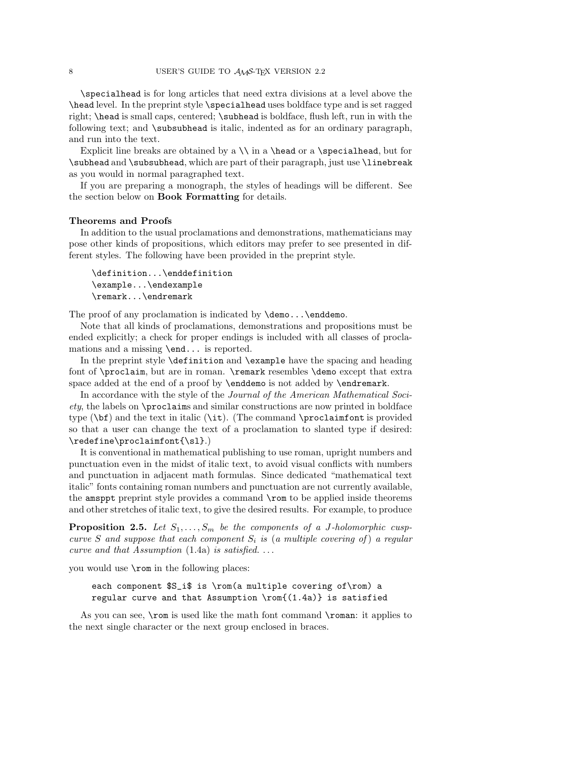\specialhead is for long articles that need extra divisions at a level above the \head level. In the preprint style \specialhead uses boldface type and is set ragged right; **\head** is small caps, centered; **\subhead** is boldface, flush left, run in with the following text; and \subsubhead is italic, indented as for an ordinary paragraph, and run into the text.

Explicit line breaks are obtained by a  $\iota$  a  $\headimes$  a  $\spadesuit$ , but for \subhead and \subsubhead, which are part of their paragraph, just use \linebreak as you would in normal paragraphed text.

If you are preparing a monograph, the styles of headings will be different. See the section below on **Book Formatting** for details.

## **Theorems and Proofs**

In addition to the usual proclamations and demonstrations, mathematicians may pose other kinds of propositions, which editors may prefer to see presented in different styles. The following have been provided in the preprint style.

```
\definition...\enddefinition
\example...\endexample
\remark...\endremark
```
The proof of any proclamation is indicated by **\demo... \enddemo.** 

Note that all kinds of proclamations, demonstrations and propositions must be ended explicitly; a check for proper endings is included with all classes of proclamations and a missing \end... is reported.

In the preprint style \definition and \example have the spacing and heading font of \proclaim, but are in roman. \remark resembles \demo except that extra space added at the end of a proof by **\enddemo** is not added by **\endremark**.

In accordance with the style of the Journal of the American Mathematical Society, the labels on \proclaims and similar constructions are now printed in boldface type  $(\bf{b}f)$  and the text in italic  $(\bf{b}f)$ . (The command  $\propto$  roclaimfont is provided so that a user can change the text of a proclamation to slanted type if desired: \redefine\proclaimfont{\sl}.)

It is conventional in mathematical publishing to use roman, upright numbers and punctuation even in the midst of italic text, to avoid visual conflicts with numbers and punctuation in adjacent math formulas. Since dedicated "mathematical text italic" fonts containing roman numbers and punctuation are not currently available, the amsppt preprint style provides a command \rom to be applied inside theorems and other stretches of italic text, to give the desired results. For example, to produce

**Proposition 2.5.** Let  $S_1, \ldots, S_m$  be the components of a J-holomorphic cuspcurve S and suppose that each component  $S_i$  is (a multiple covering of) a regular curve and that Assumption  $(1.4a)$  is satisfied....

you would use \rom in the following places:

each component \$S\_i\$ is \rom(a multiple covering of\rom) a regular curve and that Assumption  $\rem(1.4a)$  is satisfied

As you can see, **\rom** is used like the math font command **\roman**: it applies to the next single character or the next group enclosed in braces.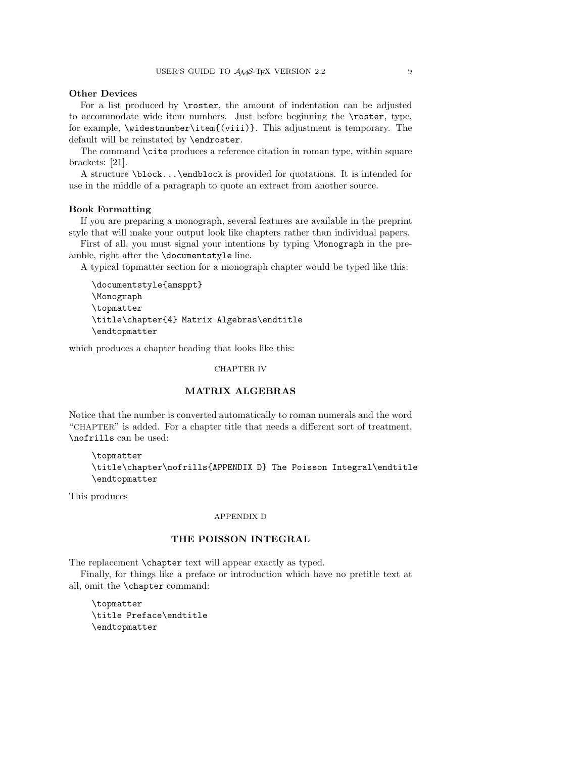# **Other Devices**

For a list produced by \roster, the amount of indentation can be adjusted to accommodate wide item numbers. Just before beginning the \roster, type, for example, \widestnumber\item{(viii)}. This adjustment is temporary. The default will be reinstated by \endroster.

The command \cite produces a reference citation in roman type, within square brackets: [21].

A structure \block...\endblock is provided for quotations. It is intended for use in the middle of a paragraph to quote an extract from another source.

## **Book Formatting**

If you are preparing a monograph, several features are available in the preprint style that will make your output look like chapters rather than individual papers.

First of all, you must signal your intentions by typing \Monograph in the preamble, right after the \documentstyle line.

A typical topmatter section for a monograph chapter would be typed like this:

```
\documentstyle{amsppt}
\Monograph
\topmatter
\title\chapter{4} Matrix Algebras\endtitle
\endtopmatter
```
which produces a chapter heading that looks like this:

## CHAPTER IV

## **MATRIX ALGEBRAS**

Notice that the number is converted automatically to roman numerals and the word "CHAPTER" is added. For a chapter title that needs a different sort of treatment, \nofrills can be used:

\topmatter \title\chapter\nofrills{APPENDIX D} The Poisson Integral\endtitle \endtopmatter

This produces

## APPENDIX D

# **THE POISSON INTEGRAL**

The replacement \chapter text will appear exactly as typed.

Finally, for things like a preface or introduction which have no pretitle text at all, omit the \chapter command:

\topmatter \title Preface\endtitle \endtopmatter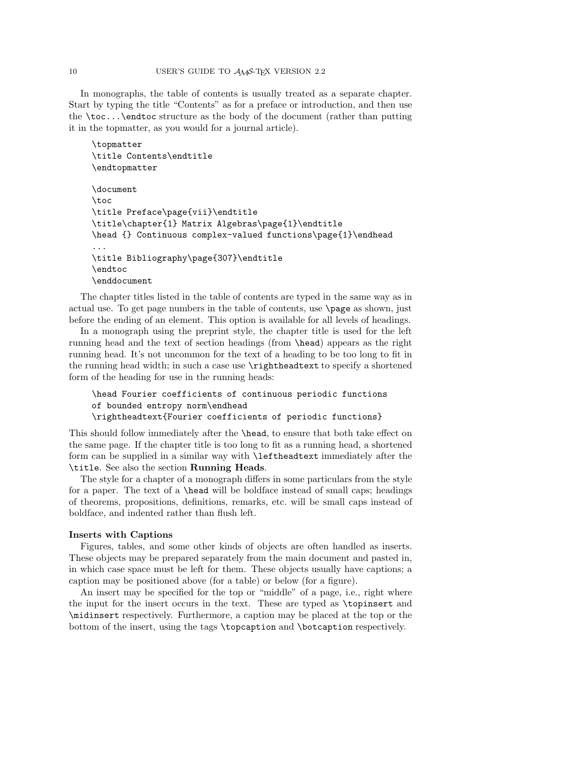In monographs, the table of contents is usually treated as a separate chapter. Start by typing the title "Contents" as for a preface or introduction, and then use the \toc...\endtoc structure as the body of the document (rather than putting it in the topmatter, as you would for a journal article).

```
\topmatter
\title Contents\endtitle
\endtopmatter
\document
\toc
\title Preface\page{vii}\endtitle
\title\chapter{1} Matrix Algebras\page{1}\endtitle
\head {} Continuous complex-valued functions\page{1}\endhead
...
\title Bibliography\page{307}\endtitle
\endtoc
\enddocument
```
The chapter titles listed in the table of contents are typed in the same way as in actual use. To get page numbers in the table of contents, use \page as shown, just before the ending of an element. This option is available for all levels of headings.

In a monograph using the preprint style, the chapter title is used for the left running head and the text of section headings (from \head) appears as the right running head. It's not uncommon for the text of a heading to be too long to fit in the running head width; in such a case use \rightheadtext to specify a shortened form of the heading for use in the running heads:

```
\head Fourier coefficients of continuous periodic functions
of bounded entropy norm\endhead
\rightheadtext{Fourier coefficients of periodic functions}
```
This should follow immediately after the \head, to ensure that both take effect on the same page. If the chapter title is too long to fit as a running head, a shortened form can be supplied in a similar way with \leftheadtext immediately after the \title. See also the section **Running Heads**.

The style for a chapter of a monograph differs in some particulars from the style for a paper. The text of a \head will be boldface instead of small caps; headings of theorems, propositions, definitions, remarks, etc. will be small caps instead of boldface, and indented rather than flush left.

#### **Inserts with Captions**

Figures, tables, and some other kinds of objects are often handled as inserts. These objects may be prepared separately from the main document and pasted in, in which case space must be left for them. These objects usually have captions; a caption may be positioned above (for a table) or below (for a figure).

An insert may be specified for the top or "middle" of a page, i.e., right where the input for the insert occurs in the text. These are typed as \topinsert and \midinsert respectively. Furthermore, a caption may be placed at the top or the bottom of the insert, using the tags \topcaption and \botcaption respectively.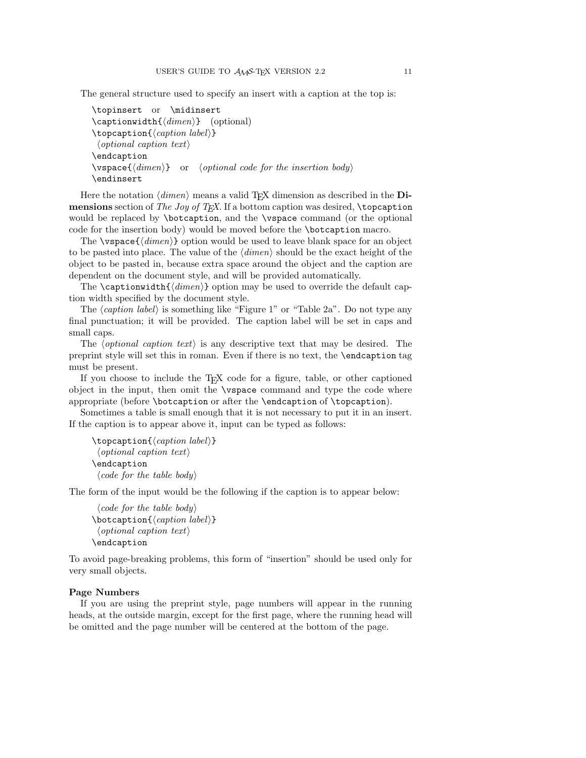The general structure used to specify an insert with a caption at the top is:

```
\topinsert or \midinsert
\text{depth}(\text{dimension}) (optional)
\to \to \{caption label)}
 \langleoptional caption text\rangle\endcaption
\varepsilon \vspace{\langle dimen \rangle} or \langle optimal\ code\ for\ the\ insertion\ body \rangle\endinsert
```
Here the notation  $\langle \text{dimen} \rangle$  means a valid T<sub>EX</sub> dimension as described in the **Dimensions** section of *The Joy of TEX*. If a bottom caption was desired, **\topcaption** would be replaced by \botcaption, and the \vspace command (or the optional code for the insertion body) would be moved before the \botcaption macro.

The  $\varepsilon_{\text{dimension}}$  option would be used to leave blank space for an object to be pasted into place. The value of the  $\langle dimen \rangle$  should be the exact height of the object to be pasted in, because extra space around the object and the caption are dependent on the document style, and will be provided automatically.

The \captionwidth{ $\langle$ *dimen*}} option may be used to override the default caption width specified by the document style.

The  $\langle$ *caption label* $\rangle$  is something like "Figure 1" or "Table 2a". Do not type any final punctuation; it will be provided. The caption label will be set in caps and small caps.

The *(optional caption text)* is any descriptive text that may be desired. The preprint style will set this in roman. Even if there is no text, the \endcaption tag must be present.

If you choose to include the T<sub>EX</sub> code for a figure, table, or other captioned object in the input, then omit the \vspace command and type the code where appropriate (before \botcaption or after the \endcaption of \topcaption).

Sometimes a table is small enough that it is not necessary to put it in an insert. If the caption is to appear above it, input can be typed as follows:

```
\to \to \{ \cap label)}
 \langleoptional caption text\rangle\endcaption
 \langle code for the table body \rangle
```
The form of the input would be the following if the caption is to appear below:

```
\langle code for the table body \rangle\boldsymbol{\delta} \botcaption {\langle \textit{caption } \textit{label} \rangle}
  \langle optional caption text\rangle\endcaption
```
To avoid page-breaking problems, this form of "insertion" should be used only for very small objects.

## **Page Numbers**

If you are using the preprint style, page numbers will appear in the running heads, at the outside margin, except for the first page, where the running head will be omitted and the page number will be centered at the bottom of the page.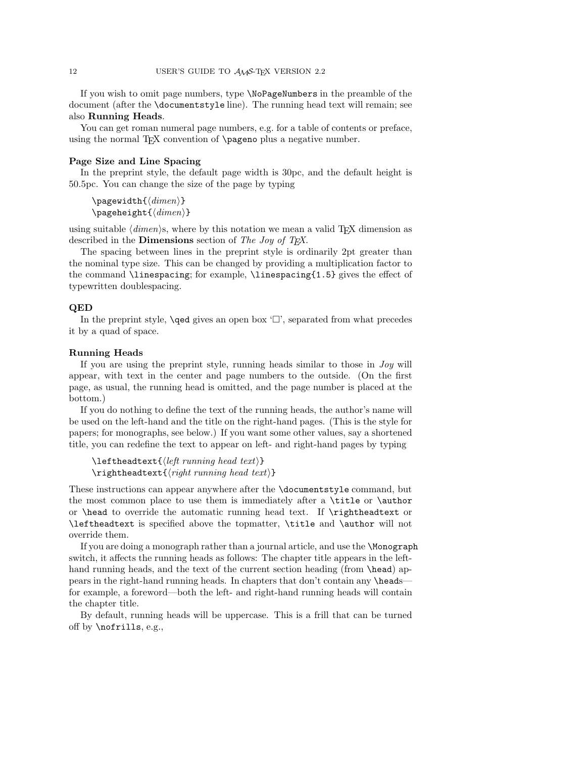If you wish to omit page numbers, type \NoPageNumbers in the preamble of the document (after the \documentstyle line). The running head text will remain; see also **Running Heads**.

You can get roman numeral page numbers, e.g. for a table of contents or preface, using the normal T<sub>F</sub>X convention of  $\pa$ geno plus a negative number.

#### **Page Size and Line Spacing**

In the preprint style, the default page width is 30pc, and the default height is 50.5pc. You can change the size of the page by typing

\pagewidth{ $\langle$ dimen}} \pageheight $\{\langle dimen \rangle\}$ 

using suitable  $\langle$  dimension, where by this notation we mean a valid TEX dimension as described in the **Dimensions** section of The Joy of T<sub>E</sub>X.

The spacing between lines in the preprint style is ordinarily 2pt greater than the nominal type size. This can be changed by providing a multiplication factor to the command  $\langle$  inespacing; for example,  $\langle$  inespacing $\{1.5\}$  gives the effect of typewritten doublespacing.

### **QED**

In the preprint style,  $\qquad$  gives an open box  $' \square'$ , separated from what precedes it by a quad of space.

#### **Running Heads**

If you are using the preprint style, running heads similar to those in Joy will appear, with text in the center and page numbers to the outside. (On the first page, as usual, the running head is omitted, and the page number is placed at the bottom.)

If you do nothing to define the text of the running heads, the author's name will be used on the left-hand and the title on the right-hand pages. (This is the style for papers; for monographs, see below.) If you want some other values, say a shortened title, you can redefine the text to appear on left- and right-hand pages by typing

```
\left\{ \left( \left( \text{left running head text} \right) \right) \right\}\rightarrow \rightheadtext{\langle right\ running\ head\ text \rangle}
```
These instructions can appear anywhere after the \documentstyle command, but the most common place to use them is immediately after a \title or \author or \head to override the automatic running head text. If \rightheadtext or \leftheadtext is specified above the topmatter, \title and \author will not override them.

If you are doing a monograph rather than a journal article, and use the \Monograph switch, it affects the running heads as follows: The chapter title appears in the lefthand running heads, and the text of the current section heading (from **\head**) appears in the right-hand running heads. In chapters that don't contain any \heads for example, a foreword—both the left- and right-hand running heads will contain the chapter title.

By default, running heads will be uppercase. This is a frill that can be turned off by \nofrills, e.g.,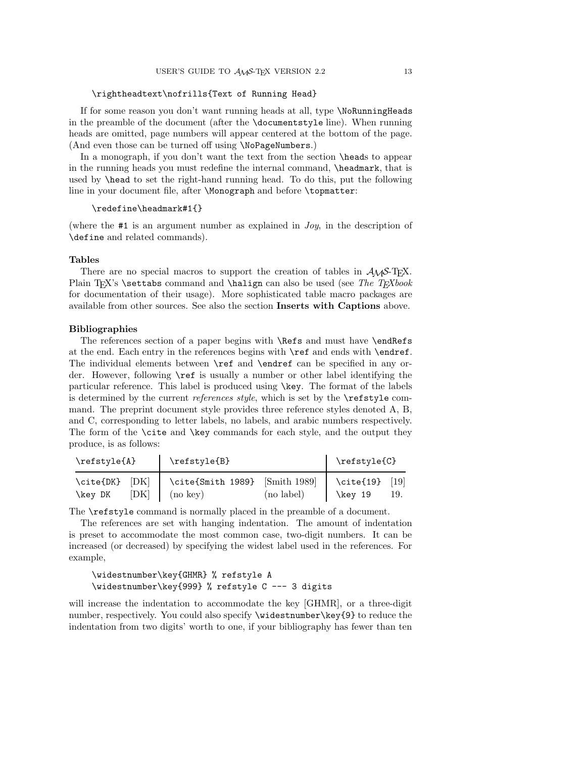## \rightheadtext\nofrills{Text of Running Head}

If for some reason you don't want running heads at all, type \NoRunningHeads in the preamble of the document (after the \documentstyle line). When running heads are omitted, page numbers will appear centered at the bottom of the page. (And even those can be turned off using \NoPageNumbers.)

In a monograph, if you don't want the text from the section **\heads** to appear in the running heads you must redefine the internal command, \headmark, that is used by \head to set the right-hand running head. To do this, put the following line in your document file, after \Monograph and before \topmatter:

#### \redefine\headmark#1{}

(where the #1 is an argument number as explained in Joy, in the description of \define and related commands).

### **Tables**

There are no special macros to support the creation of tables in  $A_{\mathcal{M}}S$ -T<sub>E</sub>X. Plain TEX's \settabs command and \halign can also be used (see The TEXbook for documentation of their usage). More sophisticated table macro packages are available from other sources. See also the section **Inserts with Captions** above.

#### **Bibliographies**

The references section of a paper begins with \Refs and must have \endRefs at the end. Each entry in the references begins with \ref and ends with \endref. The individual elements between \ref and \endref can be specified in any order. However, following \ref is usually a number or other label identifying the particular reference. This label is produced using \key. The format of the labels is determined by the current *references style*, which is set by the  $\ref{style$  command. The preprint document style provides three reference styles denoted A, B, and C, corresponding to letter labels, no labels, and arabic numbers respectively. The form of the \cite and \key commands for each style, and the output they produce, is as follows:

| \refstyle{A}                        | \refstyle{B}                                                    | $\refstyle{C}$ |                            |     |
|-------------------------------------|-----------------------------------------------------------------|----------------|----------------------------|-----|
| $\cite{DK} [DK]$<br>[DK]<br>\key DK | $\lvert$ \cite{Smith 1989} [Smith 1989]<br>$\ln(\text{no key})$ | (no label)     | $\cite{19}$ [19]<br>key 19 | 19. |

The \refstyle command is normally placed in the preamble of a document.

The references are set with hanging indentation. The amount of indentation is preset to accommodate the most common case, two-digit numbers. It can be increased (or decreased) by specifying the widest label used in the references. For example,

## \widestnumber\key{GHMR} % refstyle A \widestnumber\key{999} % refstyle C --- 3 digits

will increase the indentation to accommodate the key [GHMR], or a three-digit number, respectively. You could also specify \widestnumber\key{9} to reduce the indentation from two digits' worth to one, if your bibliography has fewer than ten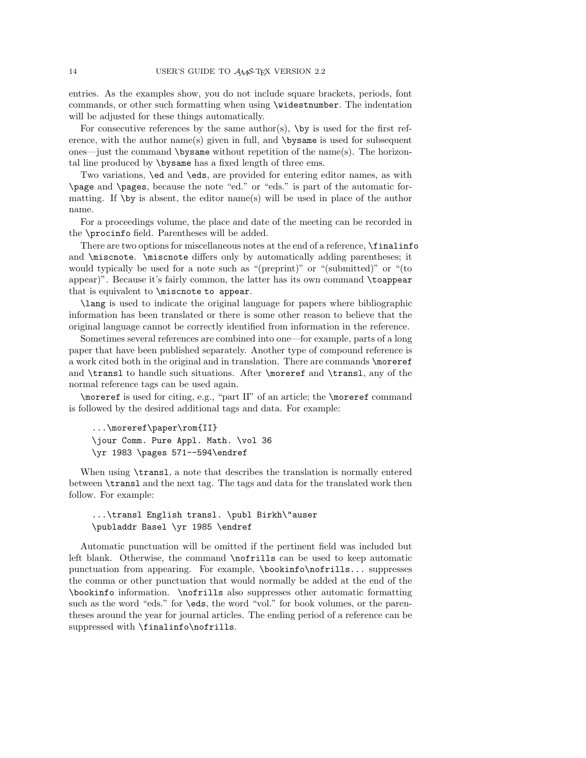entries. As the examples show, you do not include square brackets, periods, font commands, or other such formatting when using \widestnumber. The indentation will be adjusted for these things automatically.

For consecutive references by the same author(s),  $\by$  is used for the first reference, with the author name(s) given in full, and \bysame is used for subsequent ones—just the command  $\b{bysame}$  without repetition of the name(s). The horizontal line produced by \bysame has a fixed length of three ems.

Two variations, \ed and \eds, are provided for entering editor names, as with \page and \pages, because the note "ed." or "eds." is part of the automatic formatting. If \by is absent, the editor name(s) will be used in place of the author name.

For a proceedings volume, the place and date of the meeting can be recorded in the \procinfo field. Parentheses will be added.

There are two options for miscellaneous notes at the end of a reference, \finalinfo and \miscnote. \miscnote differs only by automatically adding parentheses; it would typically be used for a note such as "(preprint)" or "(submitted)" or "(to appear)". Because it's fairly common, the latter has its own command \toappear that is equivalent to \miscnote to appear.

\lang is used to indicate the original language for papers where bibliographic information has been translated or there is some other reason to believe that the original language cannot be correctly identified from information in the reference.

Sometimes several references are combined into one—for example, parts of a long paper that have been published separately. Another type of compound reference is a work cited both in the original and in translation. There are commands \moreref and \transl to handle such situations. After \moreref and \transl, any of the normal reference tags can be used again.

\moreref is used for citing, e.g., "part II" of an article; the \moreref command is followed by the desired additional tags and data. For example:

```
...\moreref\paper\rom{II}
\jour Comm. Pure Appl. Math. \vol 36
\yr 1983 \pages 571--594\endref
```
When using  $\transl$ , a note that describes the translation is normally entered between \transl and the next tag. The tags and data for the translated work then follow. For example:

...\transl English transl. \publ Birkh\"auser \publaddr Basel \yr 1985 \endref

Automatic punctuation will be omitted if the pertinent field was included but left blank. Otherwise, the command \nofrills can be used to keep automatic punctuation from appearing. For example, \bookinfo\nofrills... suppresses the comma or other punctuation that would normally be added at the end of the \bookinfo information. \nofrills also suppresses other automatic formatting such as the word "eds." for \eds, the word "vol." for book volumes, or the parentheses around the year for journal articles. The ending period of a reference can be suppressed with \finalinfo\nofrills.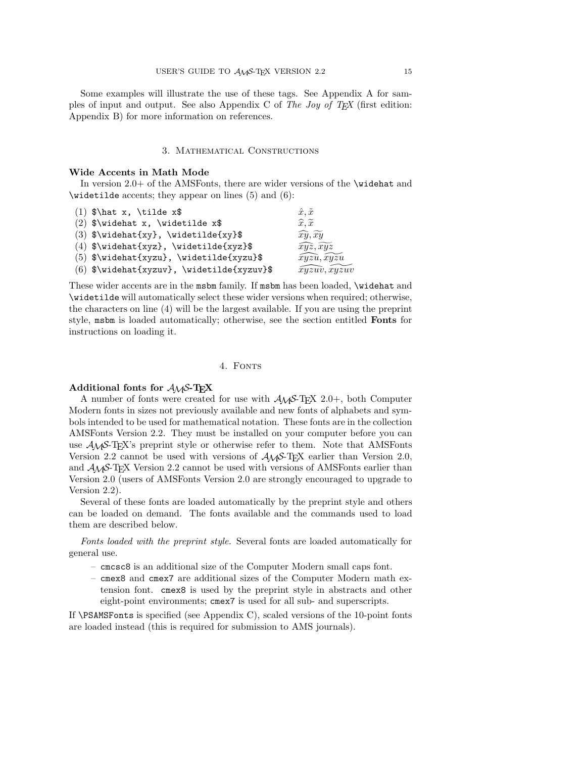Some examples will illustrate the use of these tags. See Appendix A for samples of input and output. See also Appendix C of The Joy of T<sub>E</sub>X (first edition: Appendix B) for more information on references.

## 3. Mathematical Constructions

## **Wide Accents in Math Mode**

In version 2.0+ of the AMSFonts, there are wider versions of the \widehat and<br>widetilde accents; they appear on lines (5) and (6):<br>(1)  $\hat{x}$ ,  $\hat{x}$ ,  $\hat{x}$ ,  $\hat{x}$ ,  $\hat{x}$ ,  $\hat{x}$ ,  $\hat{x}$ 

| $\widehat{6}$ : $\widehat{6}$ accents; they appear on lines (5) and (6): |                                   |
|--------------------------------------------------------------------------|-----------------------------------|
| $(1)$ \$\hat x, \tilde x\$                                               | $\hat{x}, \tilde{x}$              |
| (2) $\forall x, \widehat{x}$                                             | $\widehat{x}, \widetilde{x}$      |
| (3) $\widetilde{\{xy\}}$ , \widetilde{xy}\$                              | $\widehat{xy}, \widetilde{xy}$    |
| (4) $\widetilde{\{xyz\}}$ , \widetilde{xyz}\$                            | $\widehat{xyz}, \widetilde{xyz}$  |
| $(5)$ \$\widehat{xyzu}, \widetilde{xyzu}\$                               | $\widehat{xyzu},\widetilde{xyzu}$ |
| $(6)$ \$\widehat{xyzuv}, \widetilde{xyzuv}\$                             | $\widehat{xyzuv}, xyzuv$          |

These wider accents are in the msbm family. If msbm has been loaded, \widehat and \widetilde will automatically select these wider versions when required; otherwise, the characters on line (4) will be the largest available. If you are using the preprint style, msbm is loaded automatically; otherwise, see the section entitled **Fonts** for instructions on loading it.

#### 4. FONTS

## **Additional fonts for** AMS**-TEX**

A number of fonts were created for use with AMS-TEX 2.0+, both Computer Modern fonts in sizes not previously available and new fonts of alphabets and symbols intended to be used for mathematical notation. These fonts are in the collection AMSFonts Version 2.2. They must be installed on your computer before you can use AMS-TEX's preprint style or otherwise refer to them. Note that AMSFonts Version 2.2 cannot be used with versions of  $A_{\mathcal{M}}S$ -T<sub>E</sub>X earlier than Version 2.0, and AMS-TEX Version 2.2 cannot be used with versions of AMSFonts earlier than Version 2.0 (users of AMSFonts Version 2.0 are strongly encouraged to upgrade to Version 2.2).

Several of these fonts are loaded automatically by the preprint style and others can be loaded on demand. The fonts available and the commands used to load them are described below.

Fonts loaded with the preprint style. Several fonts are loaded automatically for general use.

- cmcsc8 is an additional size of the Computer Modern small caps font.
- cmex8 and cmex7 are additional sizes of the Computer Modern math extension font. cmex8 is used by the preprint style in abstracts and other eight-point environments; cmex7 is used for all sub- and superscripts.

If \PSAMSFonts is specified (see Appendix C), scaled versions of the 10-point fonts are loaded instead (this is required for submission to AMS journals).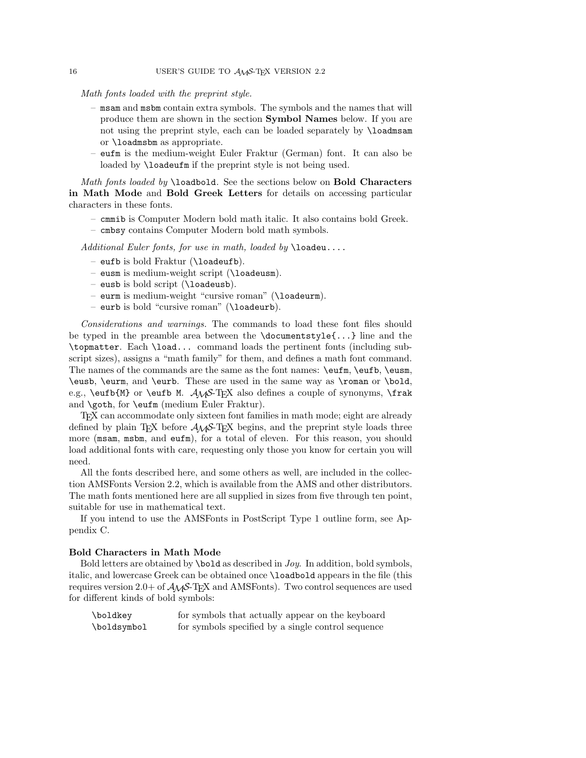Math fonts loaded with the preprint style.

- msam and msbm contain extra symbols. The symbols and the names that will produce them are shown in the section **Symbol Names** below. If you are not using the preprint style, each can be loaded separately by \loadmsam or \loadmsbm as appropriate.
- eufm is the medium-weight Euler Fraktur (German) font. It can also be loaded by **\loadeufm** if the preprint style is not being used.

Math fonts loaded by \loadbold. See the sections below on **Bold Characters in Math Mode** and **Bold Greek Letters** for details on accessing particular characters in these fonts.

- cmmib is Computer Modern bold math italic. It also contains bold Greek.
- cmbsy contains Computer Modern bold math symbols.

Additional Euler fonts, for use in math, loaded by  $\lambda$ loadeu....

- eufb is bold Fraktur (\loadeufb).
- eusm is medium-weight script (\loadeusm).
- eusb is bold script (\loadeusb).
- eurm is medium-weight "cursive roman" (\loadeurm).
- eurb is bold "cursive roman" (\loadeurb).

Considerations and warnings. The commands to load these font files should be typed in the preamble area between the \documentstyle{...} line and the \topmatter. Each \load... command loads the pertinent fonts (including subscript sizes), assigns a "math family" for them, and defines a math font command. The names of the commands are the same as the font names: \eufm, \eufb, \eusm, \eusb, \eurm, and \eurb. These are used in the same way as \roman or \bold, e.g., \eufb{M} or \eufb M.  $A\mathcal{S}$ -TEX also defines a couple of synonyms, \frak and \goth, for \eufm (medium Euler Fraktur).

TEX can accommodate only sixteen font families in math mode; eight are already defined by plain TFX before  $A\mathcal{M}S$ -TFX begins, and the preprint style loads three more (msam, msbm, and eufm), for a total of eleven. For this reason, you should load additional fonts with care, requesting only those you know for certain you will need.

All the fonts described here, and some others as well, are included in the collection AMSFonts Version 2.2, which is available from the AMS and other distributors. The math fonts mentioned here are all supplied in sizes from five through ten point, suitable for use in mathematical text.

If you intend to use the AMSFonts in PostScript Type 1 outline form, see Appendix C.

#### **Bold Characters in Math Mode**

Bold letters are obtained by \bold as described in Joy. In addition, bold symbols, italic, and lowercase Greek can be obtained once \loadbold appears in the file (this requires version 2.0+ of  $\mathcal{A}_{\mathcal{M}}$ S-T<sub>E</sub>X and AMSFonts). Two control sequences are used for different kinds of bold symbols:

\boldkey for symbols that actually appear on the keyboard \boldsymbol for symbols specified by a single control sequence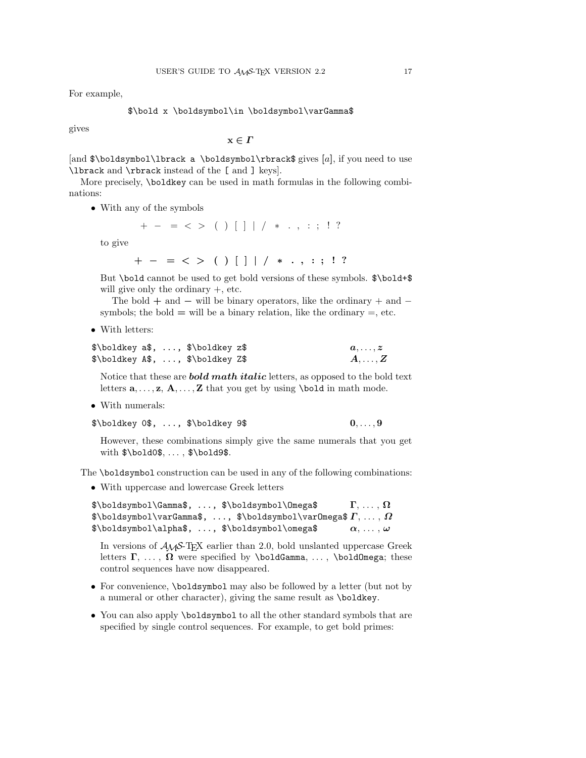For example,

## \$\bold x \boldsymbol\in \boldsymbol\varGamma\$

gives

**x** *∈ Γ*

[and \$\boldsymbol\lbrack a \boldsymbol\rbrack\$ gives **[**a**]**, if you need to use \lbrack and \rbrack instead of the [ and ] keys].

More precisely, \boldkey can be used in math formulas in the following combinations:

• With any of the symbols

 $+ - = \langle \rangle$  ()[] | / \* ., :; ! ?

to give

**+** *−* **=** *< >* **()[]** *| / ∗ . ,* **:; !?**

But \bold cannot be used to get bold versions of these symbols.  $\boldsymbol{\hat{s}}$ \bold+\$ will give only the ordinary  $+$ , etc.

The bold **+** and *−* will be binary operators, like the ordinary + and − symbols; the bold  $=$  will be a binary relation, like the ordinary  $=$ , etc.

• With letters:

|  | \$\boldkey a\$, , \$\boldkey z\$ | $a,\ldots,z$           |
|--|----------------------------------|------------------------|
|  | \$\boldkey A\$, , \$\boldkey Z\$ | $\bm{A},\ldots,\bm{Z}$ |

Notice that these are *bold math italic* letters, as opposed to the bold text letters  $\mathbf{a}, \ldots, \mathbf{z}, \mathbf{A}, \ldots, \mathbf{Z}$  that you get by using **\bold** in math mode.

• With numerals:

\$\boldkey 0\$, ..., \$\boldkey 9\$ **0**,..., **9**

However, these combinations simply give the same numerals that you get with  $\boldsymbol{\delta}, \ldots, \boldsymbol{\delta}$ 

The \boldsymbol construction can be used in any of the following combinations:

• With uppercase and lowercase Greek letters

\$\boldsymbol\Gamma\$, ..., \$\boldsymbol\Omega\$ **Γ**, ... , **Ω** \$\boldsymbol\varGamma\$, ..., \$\boldsymbol\varOmega\$ *Γ*, ... , *Ω* \$\boldsymbol\alpha\$, ..., \$\boldsymbol\omega\$ *α*, ... , *ω*

In versions of  $A_{\mathcal{M}}S$ -T<sub>E</sub>X earlier than 2.0, bold unslanted uppercase Greek letters **Γ**, ... , **Ω** were specified by \boldGamma, ... , \boldOmega; these control sequences have now disappeared.

- For convenience, \boldsymbol may also be followed by a letter (but not by a numeral or other character), giving the same result as \boldkey.
- You can also apply \boldsymbol to all the other standard symbols that are specified by single control sequences. For example, to get bold primes: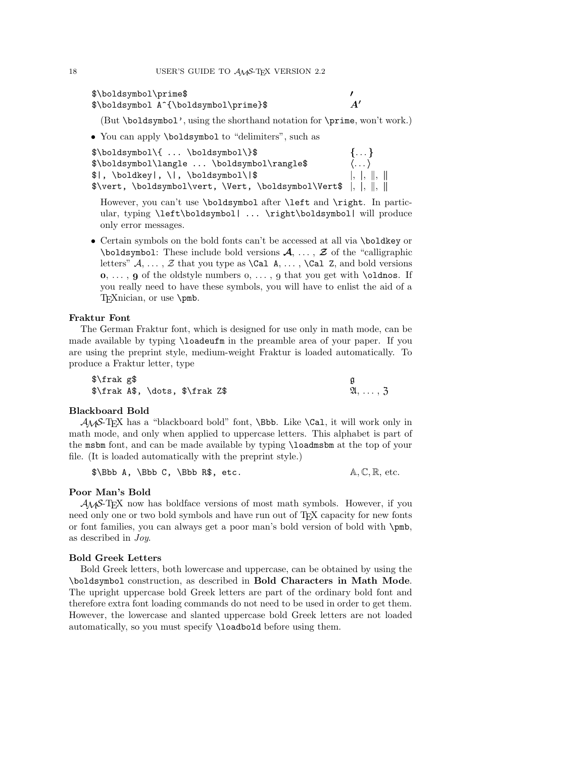```
$\boldsymbol\prime$ 0
$\boldsymbol A^{\boldsymbol\prime}$ A0
```
(But \boldsymbol', using the shorthand notation for \prime, won't work.)

• You can apply \boldsymbol to "delimiters", such as

| $\boldsymbol{\xi}$ \boldsymbol\{  \boldsymbol\}\$<br>$\{ \}$   |                              |  |  |  |  |
|----------------------------------------------------------------|------------------------------|--|--|--|--|
| \$\boldsymbol\langle  \boldsymbol\rangle\$                     | $\langle \dots \rangle$      |  |  |  |  |
| $  \$  , \boldkey , \ , \boldsymbol\ \$                        | $\vert, \vert, \vert, \vert$ |  |  |  |  |
| \$\vert, \boldsymbol\vert, \Vert, \boldsymbol\Vert\$  ,  ,   , |                              |  |  |  |  |

However, you can't use \boldsymbol after \left and \right. In particular, typing \left\boldsymbol| ... \right\boldsymbol| will produce only error messages.

• Certain symbols on the bold fonts can't be accessed at all via \boldkey or \boldsymbol: These include bold versions *A*, ... , *Z* of the "calligraphic letters"  $A, \ldots, Z$  that you type as  $\text{Cal } A, \ldots, \text{Cal } Z$ , and bold versions  $\mathbf{o}, \ldots, \mathbf{q}$  of the oldstyle numbers  $o, \ldots, g$  that you get with **\oldnos**. If you really need to have these symbols, you will have to enlist the aid of a T<sub>E</sub>Xnician, or use \pmb.

#### **Fraktur Font**

The German Fraktur font, which is designed for use only in math mode, can be made available by typing \loadeufm in the preamble area of your paper. If you are using the preprint style, medium-weight Fraktur is loaded automatically. To produce a Fraktur letter, type

| \$\frak g\$                     |  |                                      |
|---------------------------------|--|--------------------------------------|
| \$\frak A\$, \dots, \$\frak Z\$ |  | $\mathfrak{A}, \ldots, \mathfrak{Z}$ |

#### **Blackboard Bold**

 $A_{\mathcal{M}}S$ -T<sub>E</sub>X has a "blackboard bold" font, \Bbb. Like \Cal, it will work only in math mode, and only when applied to uppercase letters. This alphabet is part of the msbm font, and can be made available by typing \loadmsbm at the top of your file. (It is loaded automatically with the preprint style.)

 $\Bbb B\$  A,  $\Bbb C$ ,  $\Bbb B$ , etc.  $\A, \C, \R$ , etc.

#### **Poor Man's Bold**

 $A_{\mathcal{M}}S$ -T<sub>E</sub>X now has boldface versions of most math symbols. However, if you need only one or two bold symbols and have run out of TEX capacity for new fonts or font families, you can always get a poor man's bold version of bold with \pmb, as described in Joy.

## **Bold Greek Letters**

Bold Greek letters, both lowercase and uppercase, can be obtained by using the \boldsymbol construction, as described in **Bold Characters in Math Mode**. The upright uppercase bold Greek letters are part of the ordinary bold font and therefore extra font loading commands do not need to be used in order to get them. However, the lowercase and slanted uppercase bold Greek letters are not loaded automatically, so you must specify \loadbold before using them.

$$
^{18}
$$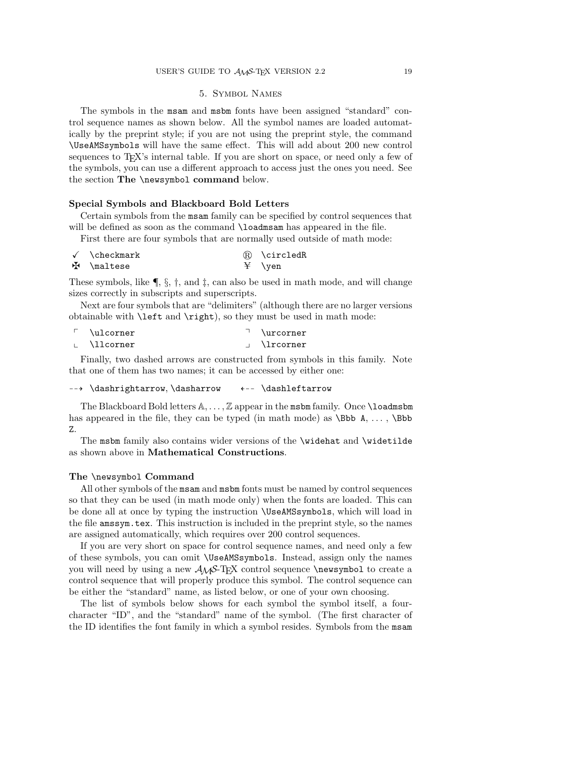## 5. Symbol Names

The symbols in the msam and msbm fonts have been assigned "standard" control sequence names as shown below. All the symbol names are loaded automatically by the preprint style; if you are not using the preprint style, the command \UseAMSsymbols will have the same effect. This will add about 200 new control sequences to T<sub>E</sub>X's internal table. If you are short on space, or need only a few of the symbols, you can use a different approach to access just the ones you need. See the section **The** \newsymbol **command** below.

#### **Special Symbols and Blackboard Bold Letters**

Certain symbols from the msam family can be specified by control sequences that will be defined as soon as the command **\loadmsam** has appeared in the file.

First there are four symbols that are normally used outside of math mode:

| √ \checkmark          | ® \circledR |
|-----------------------|-------------|
| $\mathbf{H}$ \maltese |             |

These symbols, like  $\P$ ,  $\S$ ,  $\dagger$ , and  $\dagger$ , can also be used in math mode, and will change sizes correctly in subscripts and superscripts.

Next are four symbols that are "delimiters" (although there are no larger versions obtainable with \left and \right), so they must be used in math mode:

| $\ulcorner$ \ulcorner | <b><i>Nurcorner</i></b> |
|-----------------------|-------------------------|
| . \llcorner           | \lrcorner               |

Finally, two dashed arrows are constructed from symbols in this family. Note that one of them has two names; it can be accessed by either one:

```
99K \dashrightarrow, \dasharrow L99 \dashleftarrow
```
The Blackboard Bold letters  $\mathbb{A}, \ldots, \mathbb{Z}$  appear in the msbm family. Once **\loadmsbm** has appeared in the file, they can be typed (in math mode) as  $\Bbb{S}$ bb A, ...,  $\Bbb{S}$ bb Z.

The msbm family also contains wider versions of the \widehat and \widetilde as shown above in **Mathematical Constructions**.

#### **The** \newsymbol **Command**

All other symbols of the msam and msbm fonts must be named by control sequences so that they can be used (in math mode only) when the fonts are loaded. This can be done all at once by typing the instruction \UseAMSsymbols, which will load in the file amssym.tex. This instruction is included in the preprint style, so the names are assigned automatically, which requires over 200 control sequences.

If you are very short on space for control sequence names, and need only a few of these symbols, you can omit \UseAMSsymbols. Instead, assign only the names you will need by using a new  $A\mathcal{M}S$ -TEX control sequence **\newsymbol** to create a control sequence that will properly produce this symbol. The control sequence can be either the "standard" name, as listed below, or one of your own choosing.

The list of symbols below shows for each symbol the symbol itself, a fourcharacter "ID", and the "standard" name of the symbol. (The first character of the ID identifies the font family in which a symbol resides. Symbols from the msam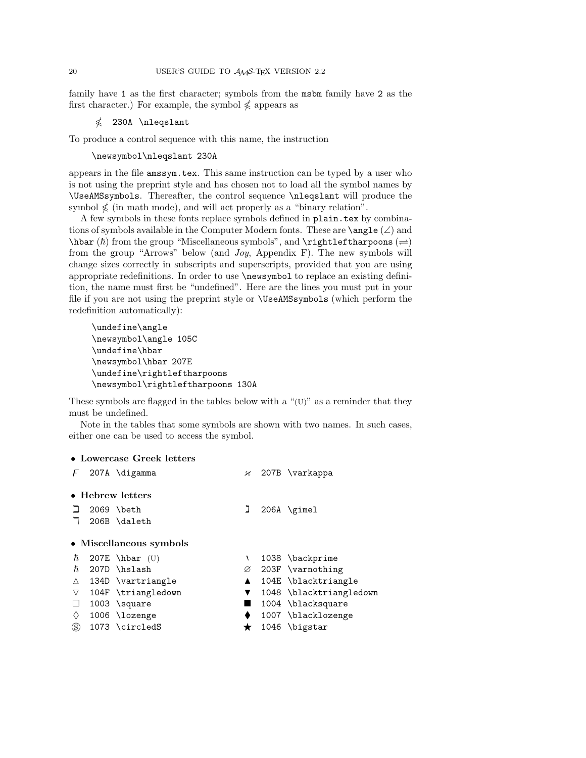family have 1 as the first character; symbols from the msbm family have 2 as the first character.) For example, the symbol  $\nleq$  appears as

 $\nleq$  230A \nleqslant

To produce a control sequence with this name, the instruction

\newsymbol\nleqslant 230A

appears in the file amssym.tex. This same instruction can be typed by a user who is not using the preprint style and has chosen not to load all the symbol names by \UseAMSsymbols. Thereafter, the control sequence \nleqslant will produce the symbol  $\nleq$  (in math mode), and will act properly as a "binary relation".

A few symbols in these fonts replace symbols defined in plain.tex by combinations of symbols available in the Computer Modern fonts. These are  $\angle$ angle (∠) and  $\hbox{\tt \hbar}$  from the group "Miscellaneous symbols", and  $\hbox{\tt rightleft}$  harpoons  $(\rightleftharpoons)$ from the group "Arrows" below (and Joy, Appendix F). The new symbols will change sizes correctly in subscripts and superscripts, provided that you are using appropriate redefinitions. In order to use \newsymbol to replace an existing definition, the name must first be "undefined". Here are the lines you must put in your file if you are not using the preprint style or \UseAMSsymbols (which perform the redefinition automatically):

```
\undefine\angle
\newsymbol\angle 105C
\undefine\hbar
\newsymbol\hbar 207E
\undefine\rightleftharpoons
\newsymbol\rightleftharpoons 130A
```
These symbols are flagged in the tables below with a "(U)" as a reminder that they must be undefined.

Note in the tables that some symbols are shown with two names. In such cases, either one can be used to access the symbol.

# • **Lowercase Greek letters**

| E        | 207A \digamma           |   | $\chi$ 207B \varkappa   |
|----------|-------------------------|---|-------------------------|
|          | • Hebrew letters        |   |                         |
|          | 2069 \beth              |   | $206A \$                |
|          | 206B \daleth            |   |                         |
|          | • Miscellaneous symbols |   |                         |
| ħ.       | 207E \hbar $(U)$        | ١ | 1038 \backprime         |
| ħ.       | 207D \hslash            | Ø | 203F \varnothing        |
| Δ        | 134D \vartriangle       |   | 104E \blacktriangle     |
| $\nabla$ | 104F \triangledown      | ▼ | 1048 \blacktriangledown |
| Ш        | $1003$ \square          |   | 1004 \blacksquare       |
| ♦        | 1006 \lozenge           |   | 1007 \blacklozenge      |
| S)       | 1073 \circledS          | * | 1046 \bigstar           |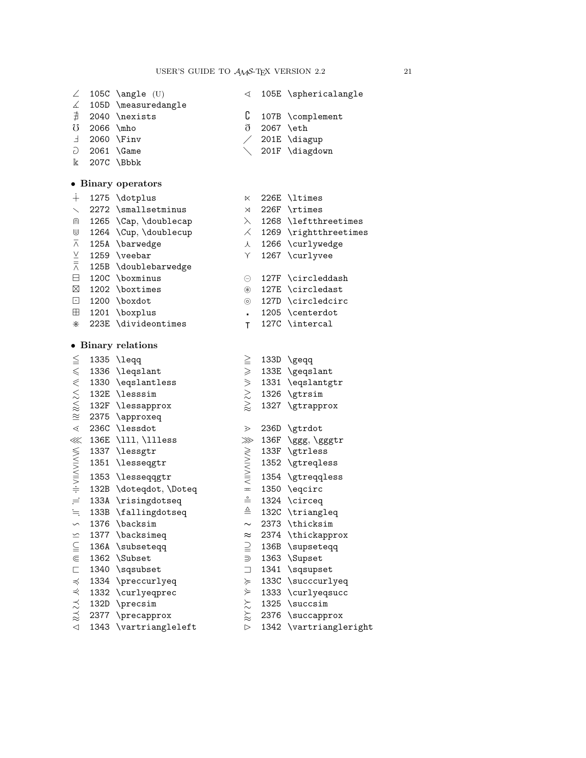| $\angle$                                                             |           | 105 $C \langle U \rangle$                                                                                                            | ◁                               | 105E \sphericalangle           |
|----------------------------------------------------------------------|-----------|--------------------------------------------------------------------------------------------------------------------------------------|---------------------------------|--------------------------------|
| $\measuredangle$                                                     |           | 105D \measuredangle                                                                                                                  |                                 |                                |
| $\sharp$                                                             |           | 2040 \nexists                                                                                                                        | C                               | 107B \complement               |
| U                                                                    | 2066 \mho |                                                                                                                                      | $\eth$                          | 2067 \eth                      |
| $\mathsf F$                                                          |           | 2060 \Finv                                                                                                                           |                                 | 201E \diagup                   |
| G                                                                    |           | $2061$ \Game                                                                                                                         |                                 | 201F \diagdown                 |
| k                                                                    |           | 207C \Bbbk                                                                                                                           |                                 |                                |
|                                                                      |           | • Binary operators                                                                                                                   |                                 |                                |
| $+$                                                                  |           | 1275 \dotplus                                                                                                                        | K                               | 226E \ltimes                   |
| $\overline{\phantom{0}}$                                             |           | 2272 \smallsetminus                                                                                                                  | $\times$                        | 226F \rtimes                   |
| ⋒                                                                    |           | 1265 \Cap, \doublecap                                                                                                                | $\lambda$                       | 1268 \leftthreetimes           |
| U                                                                    |           | 1264 \Cup, \doublecup                                                                                                                |                                 | $\angle$ 1269 \rightthreetimes |
| $\overline{\wedge}$                                                  |           | 125A \barwedge                                                                                                                       | 人                               | 1266 \curlywedge               |
|                                                                      |           | 1259 \veebar                                                                                                                         | Υ                               | 1267 \curlyvee                 |
| $\frac{\vee}{\overline{\wedge}}$                                     |           | 125B \doublebarwedge                                                                                                                 |                                 |                                |
|                                                                      |           | $\Box$ 120C \boxminus                                                                                                                | Θ                               | 127F \circleddash              |
|                                                                      |           | $\boxtimes$ 1202 \boxtimes                                                                                                           | $^{\circledast}$                | 127E \circledast               |
|                                                                      |           | $\boxed{\cdot}$ 1200 \boxdot                                                                                                         | $\circledcirc$                  | 127D \circledcirc              |
| $\boxplus$                                                           |           | 1201 \boxplus                                                                                                                        | a.                              | 1205 \centerdot                |
| ⋇                                                                    |           | 223E \divideontimes                                                                                                                  | T                               | 127C \intercal                 |
|                                                                      |           |                                                                                                                                      |                                 |                                |
|                                                                      |           | • Binary relations                                                                                                                   |                                 |                                |
|                                                                      |           | $\leq$ 1335 \leqq                                                                                                                    | >= >> >> >><br>2                | 133D \geqq                     |
|                                                                      |           |                                                                                                                                      |                                 | 133E \geqslant                 |
|                                                                      |           | 1330 \eqslantless                                                                                                                    |                                 | 1331 \eqslantgtr               |
|                                                                      |           |                                                                                                                                      |                                 | 1326 \gtrsim                   |
|                                                                      |           | 132F \lessapprox                                                                                                                     |                                 | 1327 \gtrapprox                |
|                                                                      |           | $\approx$ 1336 \leqslant<br>$\le$ 1330 \eqslantle<br>$\le$ 132E \lesssim<br>$\approx$ 132F \lessapproxeq<br>$\approx$ 2375 \approxeq |                                 |                                |
| $\leq$                                                               |           | 236C \lessdot                                                                                                                        | $\geqslant$                     | 236D \gtrdot                   |
|                                                                      |           | 136E \111, \111ess                                                                                                                   |                                 | 136F \ggg, \gggtr              |
|                                                                      |           | 1337 \lessgtr                                                                                                                        |                                 | 133F \gtrless                  |
|                                                                      |           | 1351 \lesseqgtr                                                                                                                      |                                 | 1352 \gtreqless                |
|                                                                      |           | 1353 \lesseqqgtr                                                                                                                     | <b>A</b><br>W<br>NINVINVIN<br>A | 1354 \gtreqqless               |
| ■ H->II->II->II->II-                                                 |           | 132B \doteqdot, \Doteq                                                                                                               |                                 | 1350 \eqcirc                   |
|                                                                      |           | 133A \risingdotseq                                                                                                                   | $\stackrel{\circ}{=}$           | 1324 \circeq                   |
| $\equiv$                                                             |           | 133B \fallingdotseq                                                                                                                  | $\triangleq$                    | 132C \triangleq                |
| $\backsim$                                                           |           | 1376 \backsim                                                                                                                        | $\sim$                          | 2373 \thicksim                 |
| $\leq$                                                               |           | 1377 \backsimeq                                                                                                                      | $\approx$                       | 2374 \thickapprox              |
| $\subseteqq$                                                         |           | 136A \subseteqq                                                                                                                      | $\supseteq$                     | 136B \supseteqq                |
| $\in$                                                                |           | 1362 \Subset                                                                                                                         | ⋑                               | 1363 \Supset                   |
| $\Box$                                                               |           | 1340 \sqsubset                                                                                                                       | $\Box$                          | 1341 \sqsupset                 |
|                                                                      |           | 1334 \preccurlyeq                                                                                                                    | $\succcurlyeq$                  | 133C \succcurlyeq              |
|                                                                      |           | 1332 \curlyeqprec                                                                                                                    | $\Join$                         | 1333 \curlyeqsucc              |
| $\mathcal{U}\mathcal{U}\mathcal{V}\mathcal{V}\mathcal{R}\mathcal{V}$ |           | 132D \precsim                                                                                                                        | $\lambda \lambda \lambda$       | 1325 \succsim                  |
|                                                                      |           | 2377 \precapprox                                                                                                                     |                                 | 2376 \succapprox               |
| $\triangleleft$                                                      |           | 1343 \vartriangleleft                                                                                                                | $\triangleright$                | 1342 \vartriangleright         |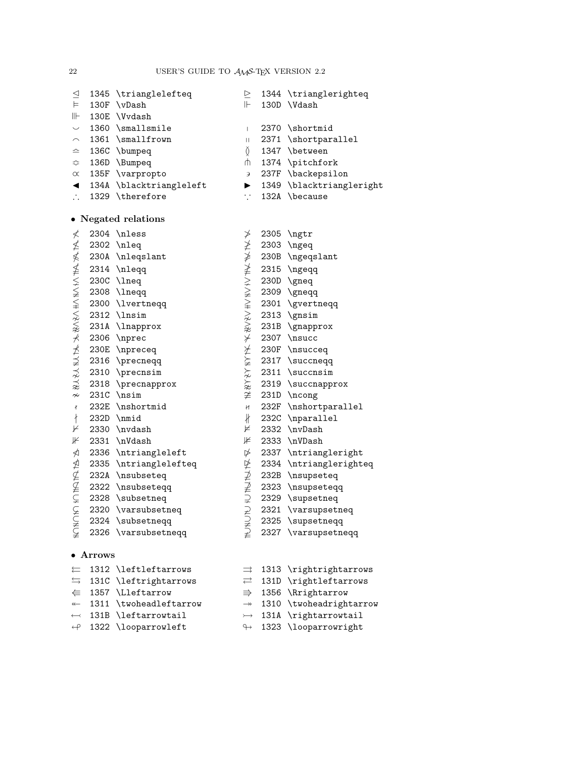| $\triangleq$                |                  | 1345 \trianglelefteq    | $\geq$                |      | 1344 \trianglerighteq    |
|-----------------------------|------------------|-------------------------|-----------------------|------|--------------------------|
| $\models$                   | 130F             | \vDash                  | $\mathrel{\Vdash}$    |      | 130D \Vdash              |
| $\parallel\parallel$        |                  | 130E \Vvdash            |                       |      |                          |
| $\smile$                    |                  | 1360 \smallsmile        | $\mathsf{I}$          |      | 2370 \shortmid           |
| $\smallfrown$               |                  | 1361 \smallfrown        | $\mid \; \mid$        |      | 2371 \shortparallel      |
| ≏                           |                  | 136C \bumpeq            | Ŏ                     |      | 1347 \between            |
| ≎                           |                  | 136D \Bumpeq            | ψ                     |      | 1374 \pitchfork          |
| $\propto$                   |                  | 135F \varpropto         | Э                     |      | 237F \backepsilon        |
| ◀                           |                  | 134A \blacktriangleleft | $\blacktriangleright$ |      | 1349 \blacktriangleright |
| $\mathcal{L}_{\mathcal{A}}$ |                  | 1329 \therefore         | $\cdot$ .             |      | 132A \because            |
|                             |                  | • Negated relations     |                       |      |                          |
| ≮                           |                  | 2304 \nless             | ≯                     | 2305 | \ngtr                    |
|                             |                  | 2302 \nleq              |                       |      | 2303 \ngeq               |
|                             |                  | 230A \nleqslant         |                       |      | 230B \ngeqslant          |
|                             |                  | 2314 \nleqq             |                       |      | 2315 \ngeqq              |
|                             |                  | 230C \lneq              |                       |      | 230D \gneq               |
|                             |                  | 2308 \lneqq             |                       |      | 2309 \gneqq              |
|                             |                  | 2300 \lvertneqq         |                       |      | 2301 \gvertneqq          |
|                             |                  | $2312$ \lnsim           |                       |      | 2313 \gnsim              |
|                             |                  | 231A \lnapprox          |                       |      | 231B \gnapprox           |
| <b>WWW WANNYWAW WWW WWW</b> |                  | 2306 \nprec             |                       |      | 2307 \nsucc              |
|                             |                  | 230E \npreceq           |                       |      | 230F \nsucceq            |
|                             |                  | 2316 \precneqq          |                       |      | 2317 \succneqq           |
|                             |                  | 2310 \precnsim          |                       |      | 2311 \succnsim           |
|                             |                  | 2318 \precnapprox       |                       |      | 2319 \succnapprox        |
| $\nsim$                     |                  | 231C \nsim              |                       |      | 231D \ncong              |
| $\pmb{\mathcal{X}}$         |                  | 232E \nshortmid         | H                     |      | 232F \nshortparallel     |
| $\ddagger$                  |                  | 232D \nmid              | $\frac{1}{2}$         |      | 232C \nparallel          |
| ⊬                           |                  | 2330 \nvdash            | ⊭                     |      | 2332 \nvDash             |
| ⊮                           |                  | 2331 \nVdash            | ⊯                     |      | 2333 \nVDash             |
| ⋪                           |                  | 2336 \ntriangleleft     | $\not\triangleright$  |      | 2337 \ntriangleright     |
|                             |                  | 2335 \ntrianglelefteq   |                       |      | 2334 \ntrianglerighteq   |
| 全全に                         |                  | 232A \nsubseteq         | ANNAIN                |      | 232B \nsupseteq          |
|                             |                  | 2322 \nsubseteqq        |                       |      | 2323 \nsupseteqq         |
|                             |                  | 2328 \subsetneq         |                       |      | 2329 \supsetneq          |
| $\subsetneq$                |                  | 2320 \varsubsetneq      |                       | 2321 | \varsupsetneq            |
|                             |                  | 2324 \subsetneqq        |                       |      | 2325 \supsetneqq         |
| <b>CHANGE</b>               |                  | 2326 \varsubsetneqq     |                       |      | 2327 \varsupsetneqq      |
|                             | $\bullet$ Arrows |                         |                       |      |                          |
| ⇇                           |                  | 1312 \leftleftarrows    |                       |      | 1313 \rightrightarrows   |
| $\implies$                  |                  | 131C \leftrightarrows   | $\rightleftarrows$    |      | 131D \rightleftarrows    |
| $\Leftarrow$                |                  | 1357 \Lleftarrow        | $\Rightarrow$         |      | 1356 \Rrightarrow        |

- $\leftarrow$  1311 \twoheadleftarrow  $\rightarrow$  1310 \twoheadrightarrow
- $\leftarrow \hspace{2mm} \begin{minipage}[c]{0.9cm}{\begin{tabular}[c]{c} \hline \quad \quad & \quad \quad & \quad \quad & \quad \quad \\ \hline \quad \quad & \quad \quad & \quad \quad & \quad \quad \\ \hline \quad \quad & \quad \quad & \quad \quad & \quad \quad \\ \hline \quad \quad & \quad \quad & \quad \quad & \quad \quad \\ \hline \quad \quad & \quad \quad & \quad \quad & \quad \quad \\ \hline \quad \quad & \quad \quad & \quad \quad & \quad \quad \\ \hline \quad \quad & \quad \quad & \quad \quad & \quad \quad \\ \hline \quad \quad & \quad \quad & \quad \quad & \quad \quad \\ \h$ 
	-

 $\leftrightarrow$  1322 \looparrowleft  $\leftrightarrow$  1323 \looparrowright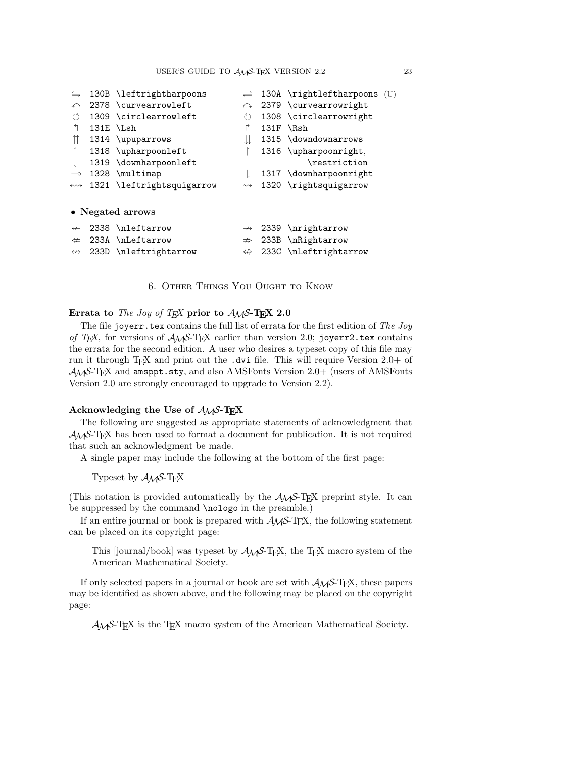| $\leftrightharpoons$         | 130B \leftrightharpoons   |                    |      | $\rightleftharpoons$ 130A \rightleftharpoons (U) |  |
|------------------------------|---------------------------|--------------------|------|--------------------------------------------------|--|
| $\curvearrowleft$            | 2378 \curvearrowleft      |                    |      | $\sim$ 2379 \curvearrowright                     |  |
| $\circ$                      | 1309 \circlearrowleft     | $\binom{1}{2}$     |      | 1308 \circlearrowright                           |  |
| ↰                            | 131E \Lsh                 | ↱                  |      | 131F \Rsh                                        |  |
| m                            | 1314 \upuparrows          |                    |      | 1315 \downdownarrows                             |  |
|                              | 1318 \upharpoonleft       |                    |      | 1316 \upharpoonright,                            |  |
|                              | 1319 \downharpoonleft     |                    |      | \restriction                                     |  |
| $\multimap$                  | 1328 \multimap            |                    |      | 1317 \downharpoonright                           |  |
| $\leftrightarrow\rightarrow$ | 1321 \leftrightsquigarrow | $\rightsquigarrow$ |      | 1320 \rightsquigarrow                            |  |
|                              | • Negated arrows          |                    |      |                                                  |  |
| $\leftrightarrow$            | 2338 \nleftarrow          | $\leftrightarrow$  |      | 2339 \nrightarrow                                |  |
| $\neq$                       | 233A \nLeftarrow          | $\nRightarrow$     | 233B | \nRightarrow                                     |  |
| $\leftrightarrow$            | 233D \nleftrightarrow     | $\Leftrightarrow$  |      | 233C \nLeftrightarrow                            |  |

6. Other Things You Ought to Know

## **Errata to** The Joy of TEX **prior to** AMS**-TEX 2.0**

The file joyerr.tex contains the full list of errata for the first edition of The Joy of TEX, for versions of  $A\mathcal{M}S$ -TEX earlier than version 2.0; joyerr2.tex contains the errata for the second edition. A user who desires a typeset copy of this file may run it through TEX and print out the .dvi file. This will require Version 2.0+ of  $\mathcal{A}_{\mathcal{M}}$ S-T<sub>E</sub>X and amsppt.sty, and also AMSFonts Version 2.0+ (users of AMSFonts Version 2.0 are strongly encouraged to upgrade to Version 2.2).

# **Acknowledging the Use of** AMS**-TEX**

The following are suggested as appropriate statements of acknowledgment that  $A_{\mathcal{M}}S$ -T<sub>E</sub>X has been used to format a document for publication. It is not required that such an acknowledgment be made.

A single paper may include the following at the bottom of the first page:

Typeset by  $\mathcal{A}_{\mathcal{M}}\mathcal{S}\text{-}\mathrm{T}_{\mathrm{E}}\mathrm{X}$ 

(This notation is provided automatically by the  $A_{\mathcal{M}}\mathcal{S}\text{-}\mathrm{Tr}X$  preprint style. It can be suppressed by the command \nologo in the preamble.)

If an entire journal or book is prepared with  $A\mathcal{M}S$ -TEX, the following statement can be placed on its copyright page:

This [journal/book] was typeset by  $A\mathcal{M}S$ -TEX, the TEX macro system of the American Mathematical Society.

If only selected papers in a journal or book are set with  $A_{\mathcal{M}}S$ -TEX, these papers may be identified as shown above, and the following may be placed on the copyright page:

AMS-TEX is the TEX macro system of the American Mathematical Society.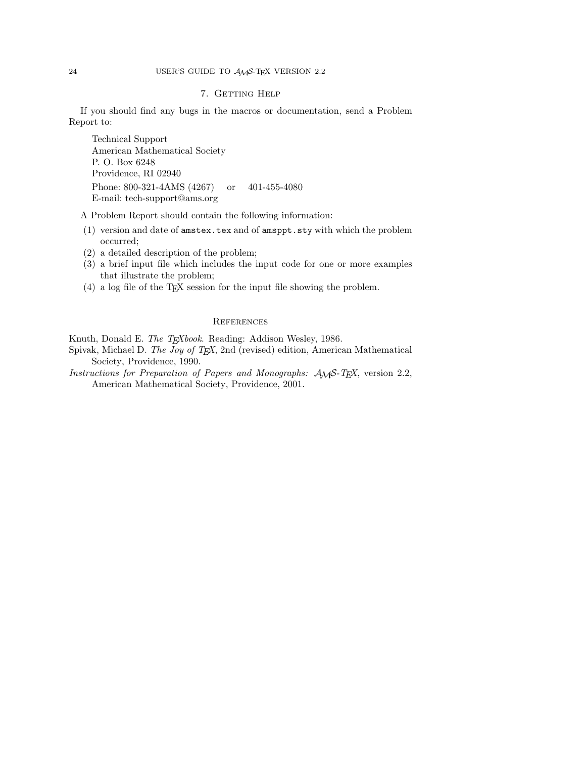## 7. GETTING HELP

If you should find any bugs in the macros or documentation, send a Problem Report to:

Technical Support American Mathematical Society P. O. Box 6248 Providence, RI 02940 Phone: 800-321-4AMS (4267) or 401-455-4080 E-mail: tech-support@ams.org

A Problem Report should contain the following information:

- (1) version and date of amstex.tex and of amsppt.sty with which the problem occurred;
- (2) a detailed description of the problem;
- (3) a brief input file which includes the input code for one or more examples that illustrate the problem;
- (4) a log file of the TEX session for the input file showing the problem.

## **REFERENCES**

Knuth, Donald E. The TEXbook. Reading: Addison Wesley, 1986.

- Spivak, Michael D. The Joy of T<sub>E</sub>X, 2nd (revised) edition, American Mathematical Society, Providence, 1990.
- Instructions for Preparation of Papers and Monographs: AMS-TEX, version 2.2, American Mathematical Society, Providence, 2001.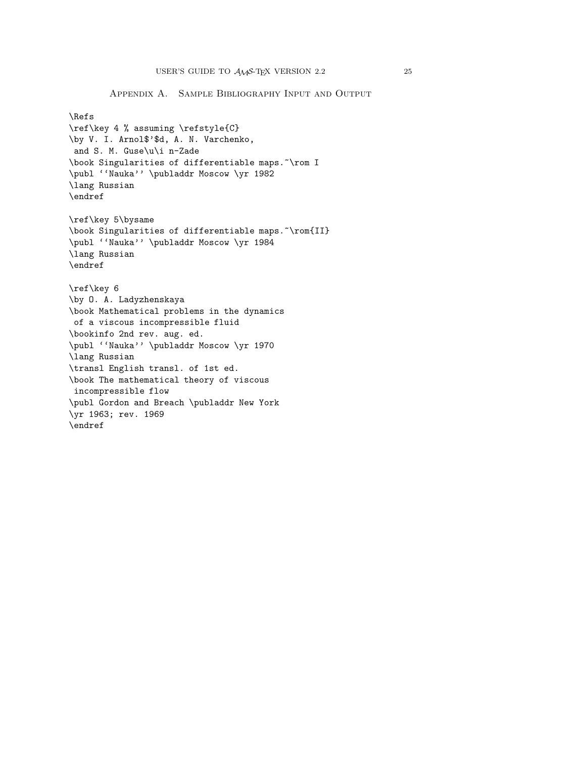Appendix A. Sample Bibliography Input and Output

```
\Refs
\ref\key 4 % assuming \refstyle{C}
\by V. I. Arnol$'$d, A. N. Varchenko,
and S. M. Guse\u\i n-Zade
\book Singularities of differentiable maps.~\rom I
\publ ''Nauka'' \publaddr Moscow \yr 1982
\lang Russian
\endref
\ref\key 5\bysame
\book Singularities of differentiable maps. ~\rom{II}
\publ ''Nauka'' \publaddr Moscow \yr 1984
\lang Russian
\endref
\ref\key 6
\by O. A. Ladyzhenskaya
\book Mathematical problems in the dynamics
of a viscous incompressible fluid
\bookinfo 2nd rev. aug. ed.
\publ ''Nauka'' \publaddr Moscow \yr 1970
\lang Russian
\transl English transl. of 1st ed.
\book The mathematical theory of viscous
incompressible flow
\publ Gordon and Breach \publaddr New York
\yr 1963; rev. 1969
\endref
```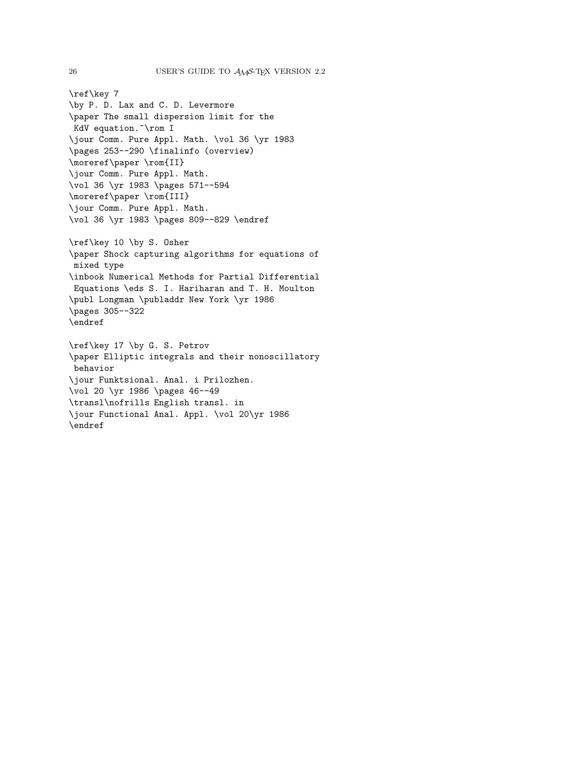```
\ref\key 7
\by P. D. Lax and C. D. Levermore
\paper The small dispersion limit for the
KdV equation. Vrom I
\jour Comm. Pure Appl. Math. \vol 36 \yr 1983
\pages 253--290 \finalinfo (overview)
\moreref\paper \rom{II}
\jour Comm. Pure Appl. Math.
\vol 36 \yr 1983 \pages 571--594
\moreref\paper \rom{III}
\jour Comm. Pure Appl. Math.
\vol 36 \yr 1983 \pages 809--829 \endref
\ref\key 10 \by S. Osher
\paper Shock capturing algorithms for equations of
mixed type
\inbook Numerical Methods for Partial Differential
Equations \eds S. I. Hariharan and T. H. Moulton
\publ Longman \publaddr New York \yr 1986
\pages 305--322
\endref
\ref\key 17 \by G. S. Petrov
\paper Elliptic integrals and their nonoscillatory
behavior
\jour Funktsional. Anal. i Prilozhen.
\vol 20 \yr 1986 \pages 46--49
\transl\nofrills English transl. in
\jour Functional Anal. Appl. \vol 20\yr 1986
\endref
```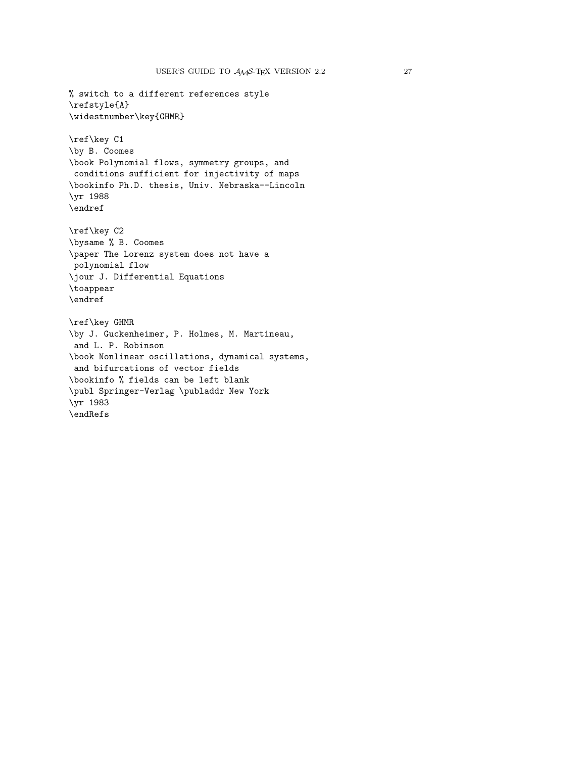% switch to a different references style \refstyle{A} \widestnumber\key{GHMR} \ref\key C1 \by B. Coomes \book Polynomial flows, symmetry groups, and conditions sufficient for injectivity of maps \bookinfo Ph.D. thesis, Univ. Nebraska--Lincoln \yr 1988 \endref \ref\key C2 \bysame % B. Coomes \paper The Lorenz system does not have a polynomial flow \jour J. Differential Equations \toappear \endref \ref\key GHMR \by J. Guckenheimer, P. Holmes, M. Martineau, and L. P. Robinson \book Nonlinear oscillations, dynamical systems, and bifurcations of vector fields \bookinfo % fields can be left blank \publ Springer-Verlag \publaddr New York \yr 1983 \endRefs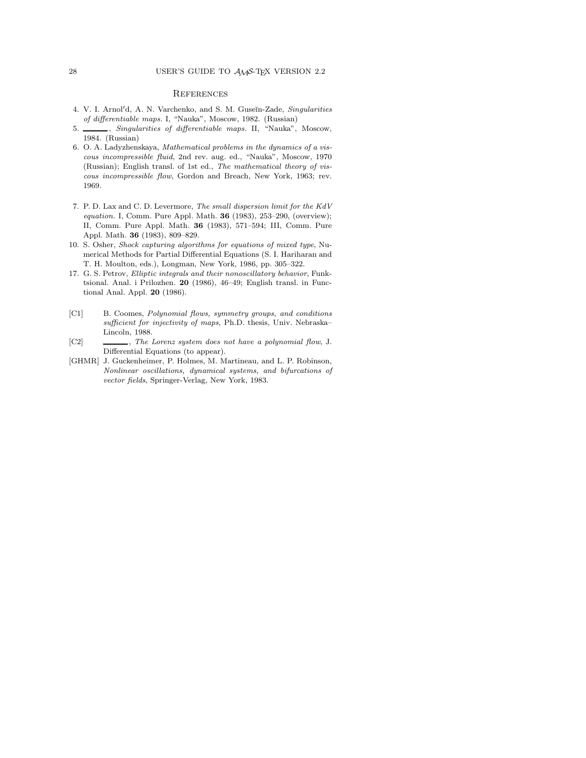## **REFERENCES**

- 4. V. I. Arnol'd, A. N. Varchenko, and S. M. Guseĭn-Zade, Singularities of differentiable maps. I, "Nauka", Moscow, 1982. (Russian)
- 5. Singularities of differentiable maps. II, "Nauka", Moscow, 1984. (Russian)
- 6. O. A. Ladyzhenskaya, Mathematical problems in the dynamics of a viscous incompressible fluid, 2nd rev. aug. ed., "Nauka", Moscow, 1970 (Russian); English transl. of 1st ed., The mathematical theory of viscous incompressible flow, Gordon and Breach, New York, 1963; rev. 1969.
- 7. P. D. Lax and C. D. Levermore, The small dispersion limit for the KdV equation. I, Comm. Pure Appl. Math. **36** (1983), 253–290, (overview); II, Comm. Pure Appl. Math. **36** (1983), 571–594; III, Comm. Pure Appl. Math. **36** (1983), 809–829.
- 10. S. Osher, Shock capturing algorithms for equations of mixed type, Numerical Methods for Partial Differential Equations (S. I. Hariharan and T. H. Moulton, eds.), Longman, New York, 1986, pp. 305–322.
- 17. G. S. Petrov, Elliptic integrals and their nonoscillatory behavior, Funktsional. Anal. i Prilozhen. **20** (1986), 46–49; English transl. in Functional Anal. Appl. **20** (1986).
- [C1] B. Coomes, Polynomial flows, symmetry groups, and conditions sufficient for injectivity of maps, Ph.D. thesis, Univ. Nebraska– Lincoln, 1988.
- [C2]  $\qquad \qquad \qquad \qquad .$  The Lorenz system does not have a polynomial flow, J. Differential Equations (to appear).
- [GHMR] J. Guckenheimer, P. Holmes, M. Martineau, and L. P. Robinson, Nonlinear oscillations, dynamical systems, and bifurcations of vector fields, Springer-Verlag, New York, 1983.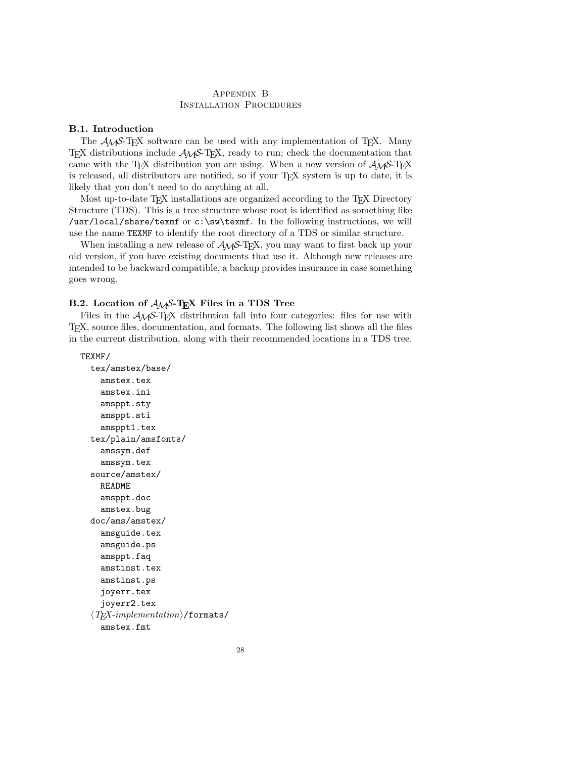## Appendix B Installation Procedures

## **B.1. Introduction**

The  $A_{\mathcal{M}}S$ -T<sub>E</sub>X software can be used with any implementation of T<sub>E</sub>X. Many TEX distributions include AMS-TEX, ready to run; check the documentation that came with the T<sub>E</sub>X distribution you are using. When a new version of  $A_{\mathcal{M}}S$ -T<sub>E</sub>X is released, all distributors are notified, so if your T<sub>E</sub>X system is up to date, it is likely that you don't need to do anything at all.

Most up-to-date T<sub>EX</sub> installations are organized according to the T<sub>EX</sub> Directory Structure (TDS). This is a tree structure whose root is identified as something like /usr/local/share/texmf or c:\sw\texmf. In the following instructions, we will use the name TEXMF to identify the root directory of a TDS or similar structure.

When installing a new release of  $A_{M}S$ -T<sub>E</sub>X, you may want to first back up your old version, if you have existing documents that use it. Although new releases are intended to be backward compatible, a backup provides insurance in case something goes wrong.

## **B.2. Location of** AMS**-TEX Files in a TDS Tree**

Files in the  $A_{\mathcal{M}}S$ -T<sub>E</sub>X distribution fall into four categories: files for use with TEX, source files, documentation, and formats. The following list shows all the files in the current distribution, along with their recommended locations in a TDS tree.

TEXMF/

```
tex/amstex/base/
  amstex.tex
  amstex.ini
  amsppt.sty
  amsppt.sti
  amsppt1.tex
tex/plain/amsfonts/
  amssym.def
  amssym.tex
source/amstex/
  README
  amsppt.doc
  amstex.bug
doc/ams/amstex/
  amsguide.tex
  amsguide.ps
  amsppt.faq
  amstinst.tex
  amstinst.ps
  joyerr.tex
  joyerr2.tex
\langle T_{E}X\text{-}implementation}\rangle/formats/
  amstex.fmt
```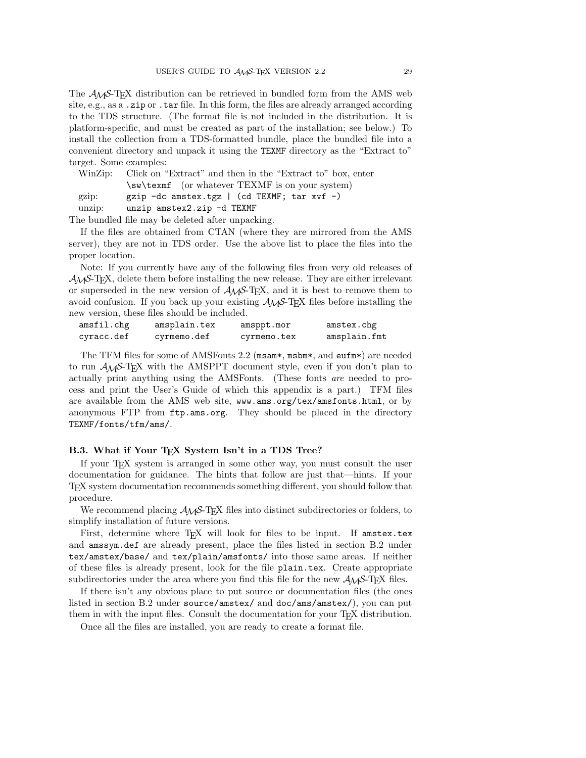The AMS-TEX distribution can be retrieved in bundled form from the AMS web site, e.g., as a .zip or .tar file. In this form, the files are already arranged according to the TDS structure. (The format file is not included in the distribution. It is platform-specific, and must be created as part of the installation; see below.) To install the collection from a TDS-formatted bundle, place the bundled file into a convenient directory and unpack it using the TEXMF directory as the "Extract to" target. Some examples:

WinZip: Click on "Extract" and then in the "Extract to" box, enter \sw\texmf (or whatever TEXMF is on your system) gzip: gzip -dc amstex.tgz | (cd TEXMF; tar xvf -) unzip: unzip amstex2.zip -d TEXMF

The bundled file may be deleted after unpacking.

If the files are obtained from CTAN (where they are mirrored from the AMS server), they are not in TDS order. Use the above list to place the files into the proper location.

Note: If you currently have any of the following files from very old releases of  $\mathcal{A}_{\mathcal{M}}$ S-T<sub>E</sub>X, delete them before installing the new release. They are either irrelevant or superseded in the new version of  $A_{\mathcal{M}}S$ -T<sub>E</sub>X, and it is best to remove them to avoid confusion. If you back up your existing  $\mathcal{A}_{\mathcal{M}}$ S-T<sub>E</sub>X files before installing the new version, these files should be included.

| amsfil.chg | amsplain.tex | amsppt.mor  | amstex.chg   |
|------------|--------------|-------------|--------------|
| cyracc.def | cyrmemo.def  | cyrmemo.tex | amsplain.fmt |

The TFM files for some of AMSFonts 2.2 (msam\*, msbm\*, and eufm\*) are needed to run AMS-TEX with the AMSPPT document style, even if you don't plan to actually print anything using the AMSFonts. (These fonts are needed to process and print the User's Guide of which this appendix is a part.) TFM files are available from the AMS web site, www.ams.org/tex/amsfonts.html, or by anonymous FTP from ftp.ams.org. They should be placed in the directory TEXMF/fonts/tfm/ams/.

#### B.3. What if Your T<sub>E</sub>X System Isn't in a TDS Tree?

If your TEX system is arranged in some other way, you must consult the user documentation for guidance. The hints that follow are just that—hints. If your TEX system documentation recommends something different, you should follow that procedure.

We recommend placing  $A_{\mathcal{M}}S$ -T<sub>E</sub>X files into distinct subdirectories or folders, to simplify installation of future versions.

First, determine where TEX will look for files to be input. If amstex.tex and amssym.def are already present, place the files listed in section B.2 under tex/amstex/base/ and tex/plain/amsfonts/ into those same areas. If neither of these files is already present, look for the file plain.tex. Create appropriate subdirectories under the area where you find this file for the new  $\mathcal{A}M\mathcal{S}$ -TEX files.

If there isn't any obvious place to put source or documentation files (the ones listed in section B.2 under source/amstex/ and doc/ams/amstex/), you can put them in with the input files. Consult the documentation for your T<sub>E</sub>X distribution.

Once all the files are installed, you are ready to create a format file.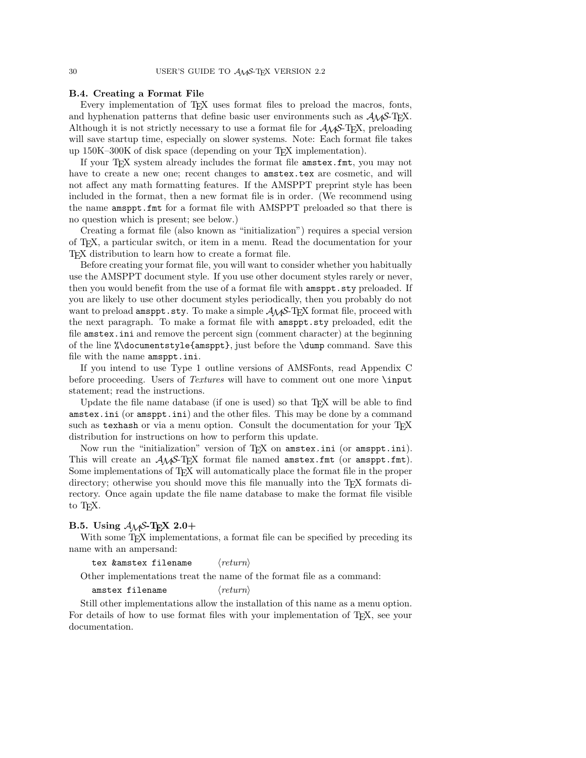## **B.4. Creating a Format File**

Every implementation of T<sub>EX</sub> uses format files to preload the macros, fonts, and hyphenation patterns that define basic user environments such as  $A_{\mathcal{M}}\mathcal{S}$ -T<sub>E</sub>X. Although it is not strictly necessary to use a format file for  $\mathcal{A}_{\mathcal{M}}\mathcal{S}\text{-}\mathrm{Tr}X$ , preloading will save startup time, especially on slower systems. Note: Each format file takes up 150K–300K of disk space (depending on your TEX implementation).

If your T<sub>F</sub>X system already includes the format file amstex.fmt, you may not have to create a new one; recent changes to amstex.tex are cosmetic, and will not affect any math formatting features. If the AMSPPT preprint style has been included in the format, then a new format file is in order. (We recommend using the name amsppt.fmt for a format file with AMSPPT preloaded so that there is no question which is present; see below.)

Creating a format file (also known as "initialization") requires a special version of TEX, a particular switch, or item in a menu. Read the documentation for your TEX distribution to learn how to create a format file.

Before creating your format file, you will want to consider whether you habitually use the AMSPPT document style. If you use other document styles rarely or never, then you would benefit from the use of a format file with amsppt.sty preloaded. If you are likely to use other document styles periodically, then you probably do not want to preload amsppt.sty. To make a simple  $A\mathcal{M}S$ -T<sub>E</sub>X format file, proceed with the next paragraph. To make a format file with amsppt.sty preloaded, edit the file amstex.ini and remove the percent sign (comment character) at the beginning of the line %\documentstyle{amsppt}, just before the \dump command. Save this file with the name amsppt.ini.

If you intend to use Type 1 outline versions of AMSFonts, read Appendix C before proceeding. Users of Textures will have to comment out one more \input statement; read the instructions.

Update the file name database (if one is used) so that  $T<sub>F</sub>X$  will be able to find amstex.ini (or amsppt.ini) and the other files. This may be done by a command such as texhash or via a menu option. Consult the documentation for your  $T\not\!\!F\!\!X$ distribution for instructions on how to perform this update.

Now run the "initialization" version of TEX on amstex.ini (or amsppt.ini). This will create an  $A_{\mathcal{M}}S$ -T<sub>E</sub>X format file named amstex.fmt (or amsppt.fmt). Some implementations of T<sub>E</sub>X will automatically place the format file in the proper directory; otherwise you should move this file manually into the T<sub>E</sub>X formats directory. Once again update the file name database to make the format file visible to T<sub>E</sub>X.

## **B.5. Using** AMS**-TEX 2.0+**

With some T<sub>E</sub>X implementations, a format file can be specified by preceding its name with an ampersand:

tex &amstex filename  $\langle return \rangle$ 

Other implementations treat the name of the format file as a command:

```
amstex filename \langle return \rangle
```
Still other implementations allow the installation of this name as a menu option. For details of how to use format files with your implementation of T<sub>E</sub>X, see your documentation.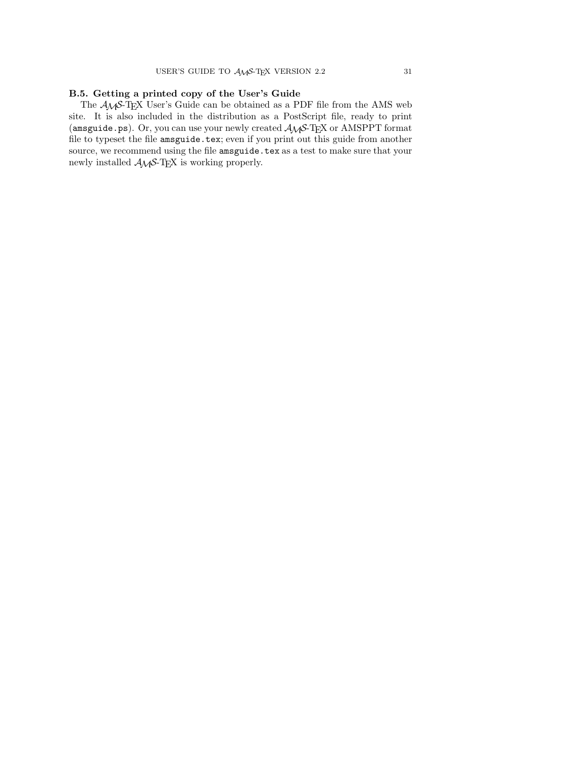# **B.5. Getting a printed copy of the User's Guide**

The  $A_{\mathcal{M}}S$ -TEX User's Guide can be obtained as a PDF file from the AMS web site. It is also included in the distribution as a PostScript file, ready to print (amsguide.ps). Or, you can use your newly created  $\mathcal{A}_{\mathcal{M}}$ S-TEX or AMSPPT format file to typeset the file amsguide.tex; even if you print out this guide from another source, we recommend using the file amsguide.tex as a test to make sure that your newly installed  $A\mathcal{M}S$ -TEX is working properly.